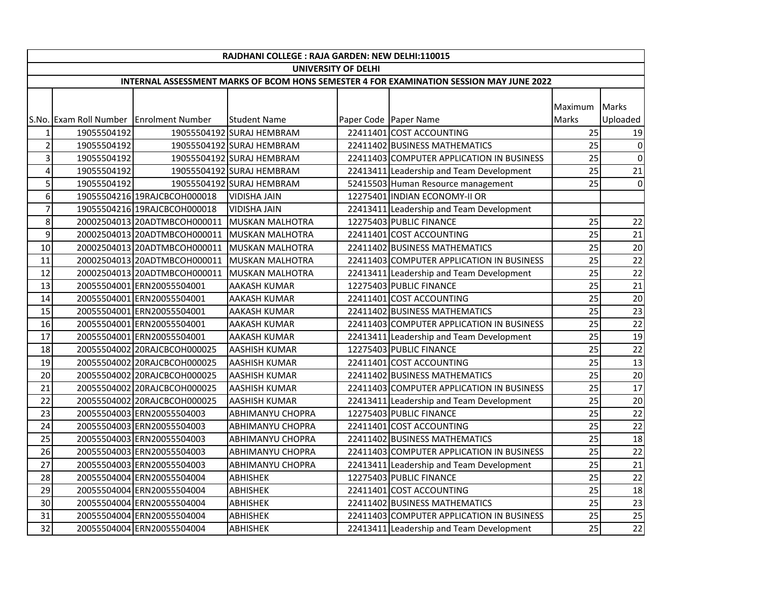|                         | RAJDHANI COLLEGE : RAJA GARDEN: NEW DELHI:110015                                        |                                              |                           |  |                                           |              |                 |  |  |  |
|-------------------------|-----------------------------------------------------------------------------------------|----------------------------------------------|---------------------------|--|-------------------------------------------|--------------|-----------------|--|--|--|
|                         | UNIVERSITY OF DELHI                                                                     |                                              |                           |  |                                           |              |                 |  |  |  |
|                         | INTERNAL ASSESSMENT MARKS OF BCOM HONS SEMESTER 4 FOR EXAMINATION SESSION MAY JUNE 2022 |                                              |                           |  |                                           |              |                 |  |  |  |
|                         |                                                                                         |                                              |                           |  |                                           |              |                 |  |  |  |
|                         |                                                                                         |                                              |                           |  |                                           | Maximum      | <b>Marks</b>    |  |  |  |
|                         |                                                                                         | S.No. Exam Roll Number Enrolment Number      | <b>Student Name</b>       |  | Paper Code Paper Name                     | <b>Marks</b> | Uploaded        |  |  |  |
| 1                       | 19055504192                                                                             |                                              | 19055504192 SURAJ HEMBRAM |  | 22411401 COST ACCOUNTING                  | 25           | 19              |  |  |  |
| $\overline{2}$          | 19055504192                                                                             |                                              | 19055504192 SURAJ HEMBRAM |  | 22411402 BUSINESS MATHEMATICS             | 25           | $\circ$         |  |  |  |
| 3                       | 19055504192                                                                             |                                              | 19055504192 SURAJ HEMBRAM |  | 22411403 COMPUTER APPLICATION IN BUSINESS | 25           | $\Omega$        |  |  |  |
| $\overline{\mathbf{4}}$ | 19055504192                                                                             |                                              | 19055504192 SURAJ HEMBRAM |  | 22413411 Leadership and Team Development  | 25           | 21              |  |  |  |
| 5                       | 19055504192                                                                             |                                              | 19055504192 SURAJ HEMBRAM |  | 52415503 Human Resource management        | 25           | $\circ$         |  |  |  |
| 6                       |                                                                                         | 19055504216 19RAJCBCOH000018                 | <b>VIDISHA JAIN</b>       |  | 12275401 INDIAN ECONOMY-II OR             |              |                 |  |  |  |
| $\overline{7}$          |                                                                                         | 19055504216 19RAJCBCOH000018                 | <b>VIDISHA JAIN</b>       |  | 22413411 Leadership and Team Development  |              |                 |  |  |  |
| 8                       |                                                                                         | 20002504013 20ADTMBCOH000011 MUSKAN MALHOTRA |                           |  | 12275403 PUBLIC FINANCE                   | 25           | 22              |  |  |  |
| 9                       |                                                                                         | 20002504013 20ADTMBCOH000011 MUSKAN MALHOTRA |                           |  | 22411401 COST ACCOUNTING                  | 25           | 21              |  |  |  |
| 10                      |                                                                                         | 20002504013 20ADTMBCOH000011                 | MUSKAN MALHOTRA           |  | 22411402 BUSINESS MATHEMATICS             | 25           | 20              |  |  |  |
| 11                      |                                                                                         | 20002504013 20ADTMBCOH000011                 | <b>MUSKAN MALHOTRA</b>    |  | 22411403 COMPUTER APPLICATION IN BUSINESS | 25           | 22              |  |  |  |
| 12                      |                                                                                         | 20002504013 20ADTMBCOH000011                 | <b>MUSKAN MALHOTRA</b>    |  | 22413411 Leadership and Team Development  | 25           | 22              |  |  |  |
| 13                      |                                                                                         | 20055504001 ERN20055504001                   | AAKASH KUMAR              |  | 12275403 PUBLIC FINANCE                   | 25           | 21              |  |  |  |
| 14                      |                                                                                         | 20055504001 ERN20055504001                   | <b>AAKASH KUMAR</b>       |  | 22411401 COST ACCOUNTING                  | 25           | 20              |  |  |  |
| 15                      |                                                                                         | 20055504001 ERN20055504001                   | <b>AAKASH KUMAR</b>       |  | 22411402 BUSINESS MATHEMATICS             | 25           | 23              |  |  |  |
| 16                      |                                                                                         | 20055504001 ERN20055504001                   | AAKASH KUMAR              |  | 22411403 COMPUTER APPLICATION IN BUSINESS | 25           | 22              |  |  |  |
| 17                      |                                                                                         | 20055504001 ERN20055504001                   | <b>AAKASH KUMAR</b>       |  | 22413411 Leadership and Team Development  | 25           | 19              |  |  |  |
| 18                      |                                                                                         | 20055504002 20RAJCBCOH000025                 | <b>AASHISH KUMAR</b>      |  | 12275403 PUBLIC FINANCE                   | 25           | $\overline{22}$ |  |  |  |
| 19                      |                                                                                         | 20055504002 20RAJCBCOH000025                 | <b>AASHISH KUMAR</b>      |  | 22411401 COST ACCOUNTING                  | 25           | 13              |  |  |  |
| 20                      |                                                                                         | 20055504002 20RAJCBCOH000025                 | AASHISH KUMAR             |  | 22411402 BUSINESS MATHEMATICS             | 25           | $\overline{20}$ |  |  |  |
| 21                      |                                                                                         | 20055504002 20RAJCBCOH000025                 | <b>AASHISH KUMAR</b>      |  | 22411403 COMPUTER APPLICATION IN BUSINESS | 25           | 17              |  |  |  |
| 22                      |                                                                                         | 20055504002 20RAJCBCOH000025                 | <b>AASHISH KUMAR</b>      |  | 22413411 Leadership and Team Development  | 25           | 20              |  |  |  |
| 23                      |                                                                                         | 20055504003 ERN20055504003                   | ABHIMANYU CHOPRA          |  | 12275403 PUBLIC FINANCE                   | 25           | $\overline{22}$ |  |  |  |
| 24                      |                                                                                         | 20055504003 ERN20055504003                   | <b>ABHIMANYU CHOPRA</b>   |  | 22411401 COST ACCOUNTING                  | 25           | $\overline{22}$ |  |  |  |
| 25                      |                                                                                         | 20055504003 ERN20055504003                   | <b>ABHIMANYU CHOPRA</b>   |  | 22411402 BUSINESS MATHEMATICS             | 25           | 18              |  |  |  |
| 26                      |                                                                                         | 20055504003 ERN20055504003                   | ABHIMANYU CHOPRA          |  | 22411403 COMPUTER APPLICATION IN BUSINESS | 25           | $\overline{22}$ |  |  |  |
| 27                      |                                                                                         | 20055504003 ERN20055504003                   | <b>ABHIMANYU CHOPRA</b>   |  | 22413411 Leadership and Team Development  | 25           | $\overline{21}$ |  |  |  |
| 28                      |                                                                                         | 20055504004 ERN20055504004                   | <b>ABHISHEK</b>           |  | 12275403 PUBLIC FINANCE                   | 25           | $\overline{22}$ |  |  |  |
| 29                      |                                                                                         | 20055504004 ERN20055504004                   | <b>ABHISHEK</b>           |  | 22411401 COST ACCOUNTING                  | 25           | 18              |  |  |  |
| 30                      |                                                                                         | 20055504004 ERN20055504004                   | <b>ABHISHEK</b>           |  | 22411402 BUSINESS MATHEMATICS             | 25           | 23              |  |  |  |
| 31                      |                                                                                         | 20055504004 ERN20055504004                   | <b>ABHISHEK</b>           |  | 22411403 COMPUTER APPLICATION IN BUSINESS | 25           | 25              |  |  |  |
| 32                      |                                                                                         | 20055504004 ERN20055504004                   | <b>ABHISHEK</b>           |  | 22413411 Leadership and Team Development  | 25           | 22              |  |  |  |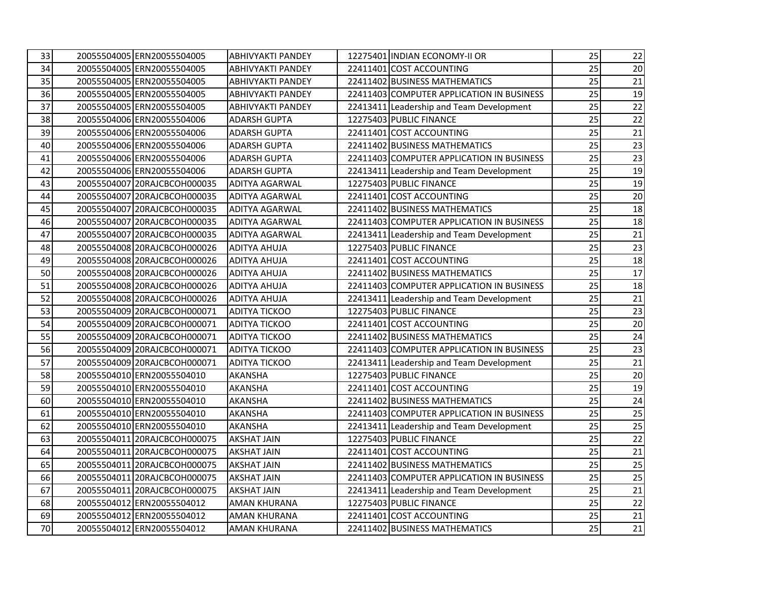| 33 | 20055504005 ERN20055504005   | <b>ABHIVYAKTI PANDEY</b> | 12275401 INDIAN ECONOMY-II OR             | 25 | 22              |
|----|------------------------------|--------------------------|-------------------------------------------|----|-----------------|
| 34 | 20055504005 ERN20055504005   | <b>ABHIVYAKTI PANDEY</b> | 22411401 COST ACCOUNTING                  | 25 | 20              |
| 35 | 20055504005 ERN20055504005   | <b>ABHIVYAKTI PANDEY</b> | 22411402 BUSINESS MATHEMATICS             | 25 | 21              |
| 36 | 20055504005 ERN20055504005   | <b>ABHIVYAKTI PANDEY</b> | 22411403 COMPUTER APPLICATION IN BUSINESS | 25 | 19              |
| 37 | 20055504005 ERN20055504005   | <b>ABHIVYAKTI PANDEY</b> | 22413411 Leadership and Team Development  | 25 | 22              |
| 38 | 20055504006 ERN20055504006   | <b>ADARSH GUPTA</b>      | 12275403 PUBLIC FINANCE                   | 25 | 22              |
| 39 | 20055504006 ERN20055504006   | <b>ADARSH GUPTA</b>      | 22411401 COST ACCOUNTING                  | 25 | 21              |
| 40 | 20055504006 ERN20055504006   | <b>ADARSH GUPTA</b>      | 22411402 BUSINESS MATHEMATICS             | 25 | 23              |
| 41 | 20055504006 ERN20055504006   | <b>ADARSH GUPTA</b>      | 22411403 COMPUTER APPLICATION IN BUSINESS | 25 | 23              |
| 42 | 20055504006 ERN20055504006   | <b>ADARSH GUPTA</b>      | 22413411 Leadership and Team Development  | 25 | 19              |
| 43 | 20055504007 20RAJCBCOH000035 | <b>ADITYA AGARWAL</b>    | 12275403 PUBLIC FINANCE                   | 25 | 19              |
| 44 | 20055504007 20RAJCBCOH000035 | <b>ADITYA AGARWAL</b>    | 22411401 COST ACCOUNTING                  | 25 | $20\,$          |
| 45 | 20055504007 20RAJCBCOH000035 | <b>ADITYA AGARWAL</b>    | 22411402 BUSINESS MATHEMATICS             | 25 | 18              |
| 46 | 20055504007 20RAJCBCOH000035 | <b>ADITYA AGARWAL</b>    | 22411403 COMPUTER APPLICATION IN BUSINESS | 25 | 18              |
| 47 | 20055504007 20RAJCBCOH000035 | <b>ADITYA AGARWAL</b>    | 22413411 Leadership and Team Development  | 25 | $21\,$          |
| 48 | 20055504008 20RAJCBCOH000026 | <b>ADITYA AHUJA</b>      | 12275403 PUBLIC FINANCE                   | 25 | 23              |
| 49 | 20055504008 20RAJCBCOH000026 | <b>ADITYA AHUJA</b>      | 22411401 COST ACCOUNTING                  | 25 | 18              |
| 50 | 20055504008 20RAJCBCOH000026 | <b>ADITYA AHUJA</b>      | 22411402 BUSINESS MATHEMATICS             | 25 | 17              |
| 51 | 20055504008 20RAJCBCOH000026 | <b>ADITYA AHUJA</b>      | 22411403 COMPUTER APPLICATION IN BUSINESS | 25 | 18              |
| 52 | 20055504008 20RAJCBCOH000026 | <b>ADITYA AHUJA</b>      | 22413411 Leadership and Team Development  | 25 | 21              |
| 53 | 20055504009 20RAJCBCOH000071 | <b>ADITYA TICKOO</b>     | 12275403 PUBLIC FINANCE                   | 25 | 23              |
| 54 | 20055504009 20RAJCBCOH000071 | <b>ADITYA TICKOO</b>     | 22411401 COST ACCOUNTING                  | 25 | 20              |
| 55 | 20055504009 20RAJCBCOH000071 | <b>ADITYA TICKOO</b>     | 22411402 BUSINESS MATHEMATICS             | 25 | 24              |
| 56 | 20055504009 20RAJCBCOH000071 | <b>ADITYA TICKOO</b>     | 22411403 COMPUTER APPLICATION IN BUSINESS | 25 | 23              |
| 57 | 20055504009 20RAJCBCOH000071 | <b>ADITYA TICKOO</b>     | 22413411 Leadership and Team Development  | 25 | 21              |
| 58 | 20055504010 ERN20055504010   | <b>AKANSHA</b>           | 12275403 PUBLIC FINANCE                   | 25 | 20              |
| 59 | 20055504010 ERN20055504010   | AKANSHA                  | 22411401 COST ACCOUNTING                  | 25 | 19              |
| 60 | 20055504010 ERN20055504010   | AKANSHA                  | 22411402 BUSINESS MATHEMATICS             | 25 | 24              |
| 61 | 20055504010 ERN20055504010   | AKANSHA                  | 22411403 COMPUTER APPLICATION IN BUSINESS | 25 | 25              |
| 62 | 20055504010 ERN20055504010   | <b>AKANSHA</b>           | 22413411 Leadership and Team Development  | 25 | $\overline{25}$ |
| 63 | 20055504011 20RAJCBCOH000075 | <b>AKSHAT JAIN</b>       | 12275403 PUBLIC FINANCE                   | 25 | 22              |
| 64 | 20055504011 20RAJCBCOH000075 | <b>AKSHAT JAIN</b>       | 22411401 COST ACCOUNTING                  | 25 | 21              |
| 65 | 20055504011 20RAJCBCOH000075 | <b>AKSHAT JAIN</b>       | 22411402 BUSINESS MATHEMATICS             | 25 | 25              |
| 66 | 20055504011 20RAJCBCOH000075 | <b>AKSHAT JAIN</b>       | 22411403 COMPUTER APPLICATION IN BUSINESS | 25 | 25              |
| 67 | 20055504011 20RAJCBCOH000075 | <b>AKSHAT JAIN</b>       | 22413411 Leadership and Team Development  | 25 | 21              |
| 68 | 20055504012 ERN20055504012   | <b>AMAN KHURANA</b>      | 12275403 PUBLIC FINANCE                   | 25 | 22              |
| 69 | 20055504012 ERN20055504012   | <b>AMAN KHURANA</b>      | 22411401 COST ACCOUNTING                  | 25 | 21              |
| 70 | 20055504012 ERN20055504012   | <b>AMAN KHURANA</b>      | 22411402 BUSINESS MATHEMATICS             | 25 | 21              |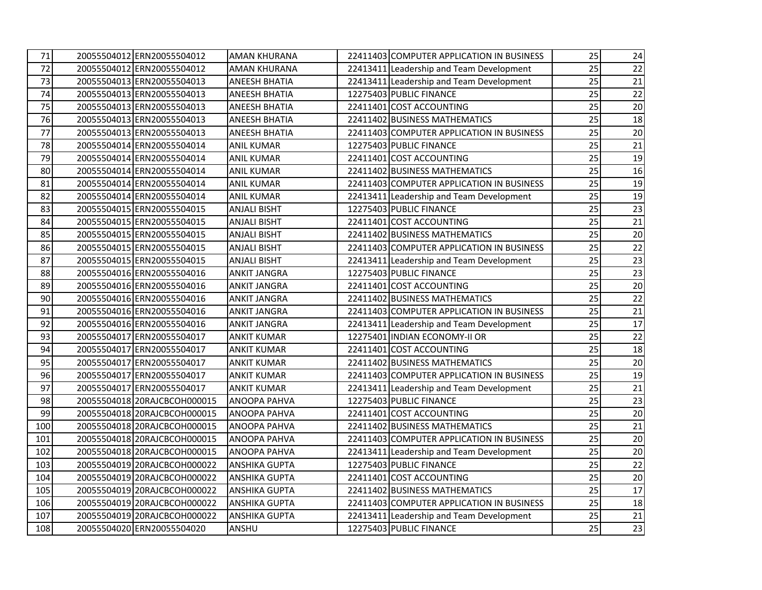| 71  | 20055504012 ERN20055504012   | <b>AMAN KHURANA</b>  | 22411403 COMPUTER APPLICATION IN BUSINESS | 25 | 24 |
|-----|------------------------------|----------------------|-------------------------------------------|----|----|
| 72  | 20055504012 ERN20055504012   | <b>AMAN KHURANA</b>  | 22413411 Leadership and Team Development  | 25 | 22 |
| 73  | 20055504013 ERN20055504013   | <b>ANEESH BHATIA</b> | 22413411 Leadership and Team Development  | 25 | 21 |
| 74  | 20055504013 ERN20055504013   | ANEESH BHATIA        | 12275403 PUBLIC FINANCE                   | 25 | 22 |
| 75  | 20055504013 ERN20055504013   | ANEESH BHATIA        | 22411401 COST ACCOUNTING                  | 25 | 20 |
| 76  | 20055504013 ERN20055504013   | ANEESH BHATIA        | 22411402 BUSINESS MATHEMATICS             | 25 | 18 |
| 77  | 20055504013 ERN20055504013   | <b>ANEESH BHATIA</b> | 22411403 COMPUTER APPLICATION IN BUSINESS | 25 | 20 |
| 78  | 20055504014 ERN20055504014   | <b>ANIL KUMAR</b>    | 12275403 PUBLIC FINANCE                   | 25 | 21 |
| 79  | 20055504014 ERN20055504014   | <b>ANIL KUMAR</b>    | 22411401 COST ACCOUNTING                  | 25 | 19 |
| 80  | 20055504014 ERN20055504014   | <b>ANIL KUMAR</b>    | 22411402 BUSINESS MATHEMATICS             | 25 | 16 |
| 81  | 20055504014 ERN20055504014   | ANIL KUMAR           | 22411403 COMPUTER APPLICATION IN BUSINESS | 25 | 19 |
| 82  | 20055504014 ERN20055504014   | ANIL KUMAR           | 22413411 Leadership and Team Development  | 25 | 19 |
| 83  | 20055504015 ERN20055504015   | <b>ANJALI BISHT</b>  | 12275403 PUBLIC FINANCE                   | 25 | 23 |
| 84  | 20055504015 ERN20055504015   | <b>ANJALI BISHT</b>  | 22411401 COST ACCOUNTING                  | 25 | 21 |
| 85  | 20055504015 ERN20055504015   | <b>ANJALI BISHT</b>  | 22411402 BUSINESS MATHEMATICS             | 25 | 20 |
| 86  | 20055504015 ERN20055504015   | <b>ANJALI BISHT</b>  | 22411403 COMPUTER APPLICATION IN BUSINESS | 25 | 22 |
| 87  | 20055504015 ERN20055504015   | <b>ANJALI BISHT</b>  | 22413411 Leadership and Team Development  | 25 | 23 |
| 88  | 20055504016 ERN20055504016   | <b>ANKIT JANGRA</b>  | 12275403 PUBLIC FINANCE                   | 25 | 23 |
| 89  | 20055504016 ERN20055504016   | <b>ANKIT JANGRA</b>  | 22411401 COST ACCOUNTING                  | 25 | 20 |
| 90  | 20055504016 ERN20055504016   | <b>ANKIT JANGRA</b>  | 22411402 BUSINESS MATHEMATICS             | 25 | 22 |
| 91  | 20055504016 ERN20055504016   | ANKIT JANGRA         | 22411403 COMPUTER APPLICATION IN BUSINESS | 25 | 21 |
| 92  | 20055504016 ERN20055504016   | ANKIT JANGRA         | 22413411 Leadership and Team Development  | 25 | 17 |
| 93  | 20055504017 ERN20055504017   | <b>ANKIT KUMAR</b>   | 12275401 INDIAN ECONOMY-II OR             | 25 | 22 |
| 94  | 20055504017 ERN20055504017   | ANKIT KUMAR          | 22411401 COST ACCOUNTING                  | 25 | 18 |
| 95  | 20055504017 ERN20055504017   | <b>ANKIT KUMAR</b>   | 22411402 BUSINESS MATHEMATICS             | 25 | 20 |
| 96  | 20055504017 ERN20055504017   | <b>ANKIT KUMAR</b>   | 22411403 COMPUTER APPLICATION IN BUSINESS | 25 | 19 |
| 97  | 20055504017 ERN20055504017   | <b>ANKIT KUMAR</b>   | 22413411 Leadership and Team Development  | 25 | 21 |
| 98  | 20055504018 20RAJCBCOH000015 | ANOOPA PAHVA         | 12275403 PUBLIC FINANCE                   | 25 | 23 |
| 99  | 20055504018 20RAJCBCOH000015 | ANOOPA PAHVA         | 22411401 COST ACCOUNTING                  | 25 | 20 |
| 100 | 20055504018 20RAJCBCOH000015 | <b>ANOOPA PAHVA</b>  | 22411402 BUSINESS MATHEMATICS             | 25 | 21 |
| 101 | 20055504018 20RAJCBCOH000015 | ANOOPA PAHVA         | 22411403 COMPUTER APPLICATION IN BUSINESS | 25 | 20 |
| 102 | 20055504018 20RAJCBCOH000015 | ANOOPA PAHVA         | 22413411 Leadership and Team Development  | 25 | 20 |
| 103 | 20055504019 20RAJCBCOH000022 | <b>ANSHIKA GUPTA</b> | 12275403 PUBLIC FINANCE                   | 25 | 22 |
| 104 | 20055504019 20RAJCBCOH000022 | <b>ANSHIKA GUPTA</b> | 22411401 COST ACCOUNTING                  | 25 | 20 |
| 105 | 20055504019 20RAJCBCOH000022 | <b>ANSHIKA GUPTA</b> | 22411402 BUSINESS MATHEMATICS             | 25 | 17 |
| 106 | 20055504019 20RAJCBCOH000022 | <b>ANSHIKA GUPTA</b> | 22411403 COMPUTER APPLICATION IN BUSINESS | 25 | 18 |
| 107 | 20055504019 20RAJCBCOH000022 | ANSHIKA GUPTA        | 22413411 Leadership and Team Development  | 25 | 21 |
| 108 | 20055504020 ERN20055504020   | ANSHU                | 12275403 PUBLIC FINANCE                   | 25 | 23 |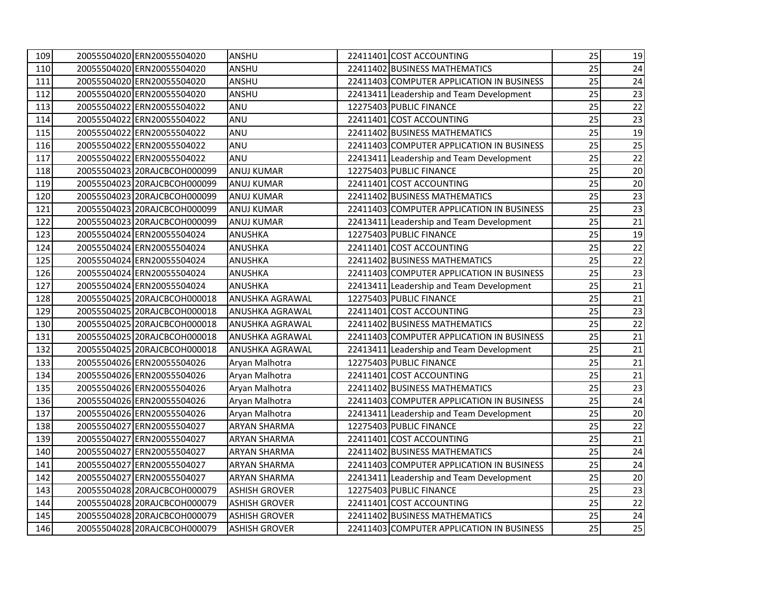| 109 | 20055504020 ERN20055504020   | ANSHU                  | 22411401 COST ACCOUNTING                  | 25 | 19              |
|-----|------------------------------|------------------------|-------------------------------------------|----|-----------------|
| 110 | 20055504020 ERN20055504020   | ANSHU                  | 22411402 BUSINESS MATHEMATICS             | 25 | 24              |
| 111 | 20055504020 ERN20055504020   | <b>ANSHU</b>           | 22411403 COMPUTER APPLICATION IN BUSINESS | 25 | 24              |
| 112 | 20055504020 ERN20055504020   | ANSHU                  | 22413411 Leadership and Team Development  | 25 | 23              |
| 113 | 20055504022 ERN20055504022   | ANU                    | 12275403 PUBLIC FINANCE                   | 25 | $22\,$          |
| 114 | 20055504022 ERN20055504022   | ANU                    | 22411401 COST ACCOUNTING                  | 25 | 23              |
| 115 | 20055504022 ERN20055504022   | ANU                    | 22411402 BUSINESS MATHEMATICS             | 25 | 19              |
| 116 | 20055504022 ERN20055504022   | ANU                    | 22411403 COMPUTER APPLICATION IN BUSINESS | 25 | 25              |
| 117 | 20055504022 ERN20055504022   | ANU                    | 22413411 Leadership and Team Development  | 25 | 22              |
| 118 | 20055504023 20RAJCBCOH000099 | <b>ANUJ KUMAR</b>      | 12275403 PUBLIC FINANCE                   | 25 | $20\,$          |
| 119 | 20055504023 20RAJCBCOH000099 | <b>ANUJ KUMAR</b>      | 22411401 COST ACCOUNTING                  | 25 | 20              |
| 120 | 20055504023 20RAJCBCOH000099 | <b>ANUJ KUMAR</b>      | 22411402 BUSINESS MATHEMATICS             | 25 | 23              |
| 121 | 20055504023 20RAJCBCOH000099 | <b>ANUJ KUMAR</b>      | 22411403 COMPUTER APPLICATION IN BUSINESS | 25 | 23              |
| 122 | 20055504023 20RAJCBCOH000099 | <b>ANUJ KUMAR</b>      | 22413411 Leadership and Team Development  | 25 | 21              |
| 123 | 20055504024 ERN20055504024   | <b>ANUSHKA</b>         | 12275403 PUBLIC FINANCE                   | 25 | 19              |
| 124 | 20055504024 ERN20055504024   | <b>ANUSHKA</b>         | 22411401 COST ACCOUNTING                  | 25 | 22              |
| 125 | 20055504024 ERN20055504024   | <b>ANUSHKA</b>         | 22411402 BUSINESS MATHEMATICS             | 25 | 22              |
| 126 | 20055504024 ERN20055504024   | <b>ANUSHKA</b>         | 22411403 COMPUTER APPLICATION IN BUSINESS | 25 | 23              |
| 127 | 20055504024 ERN20055504024   | <b>ANUSHKA</b>         | 22413411 Leadership and Team Development  | 25 | 21              |
| 128 | 20055504025120RAJCBCOH000018 | <b>ANUSHKA AGRAWAL</b> | 12275403 PUBLIC FINANCE                   | 25 | 21              |
| 129 | 20055504025 20RAJCBCOH000018 | ANUSHKA AGRAWAL        | 22411401 COST ACCOUNTING                  | 25 | 23              |
| 130 | 20055504025 20RAJCBCOH000018 | <b>ANUSHKA AGRAWAL</b> | 22411402 BUSINESS MATHEMATICS             | 25 | $\overline{22}$ |
| 131 | 20055504025 20RAJCBCOH000018 | ANUSHKA AGRAWAL        | 22411403 COMPUTER APPLICATION IN BUSINESS | 25 | 21              |
| 132 | 20055504025 20RAJCBCOH000018 | ANUSHKA AGRAWAL        | 22413411 Leadership and Team Development  | 25 | 21              |
| 133 | 20055504026 ERN20055504026   | Aryan Malhotra         | 12275403 PUBLIC FINANCE                   | 25 | 21              |
| 134 | 20055504026 ERN20055504026   | Aryan Malhotra         | 22411401 COST ACCOUNTING                  | 25 | 21              |
| 135 | 20055504026 ERN20055504026   | Aryan Malhotra         | 22411402 BUSINESS MATHEMATICS             | 25 | 23              |
| 136 | 20055504026 ERN20055504026   | Aryan Malhotra         | 22411403 COMPUTER APPLICATION IN BUSINESS | 25 | 24              |
| 137 | 20055504026 ERN20055504026   | Aryan Malhotra         | 22413411 Leadership and Team Development  | 25 | $20\,$          |
| 138 | 20055504027 ERN20055504027   | <b>ARYAN SHARMA</b>    | 12275403 PUBLIC FINANCE                   | 25 | 22              |
| 139 | 20055504027 ERN20055504027   | <b>ARYAN SHARMA</b>    | 22411401 COST ACCOUNTING                  | 25 | 21              |
| 140 | 20055504027 ERN20055504027   | <b>ARYAN SHARMA</b>    | 22411402 BUSINESS MATHEMATICS             | 25 | 24              |
| 141 | 20055504027 ERN20055504027   | <b>ARYAN SHARMA</b>    | 22411403 COMPUTER APPLICATION IN BUSINESS | 25 | 24              |
| 142 | 20055504027 ERN20055504027   | <b>ARYAN SHARMA</b>    | 22413411 Leadership and Team Development  | 25 | $20\,$          |
| 143 | 20055504028 20RAJCBCOH000079 | ASHISH GROVER          | 12275403 PUBLIC FINANCE                   | 25 | 23              |
| 144 | 20055504028 20RAJCBCOH000079 | ASHISH GROVER          | 22411401 COST ACCOUNTING                  | 25 | 22              |
| 145 | 20055504028 20RAJCBCOH000079 | ASHISH GROVER          | 22411402 BUSINESS MATHEMATICS             | 25 | 24              |
| 146 | 20055504028 20RAJCBCOH000079 | <b>ASHISH GROVER</b>   | 22411403 COMPUTER APPLICATION IN BUSINESS | 25 | 25              |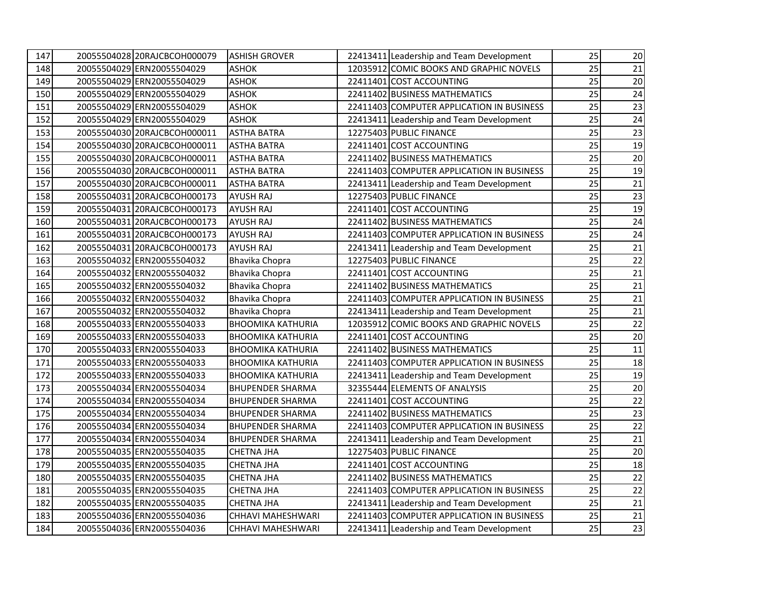| 147 | 20055504028 20RAJCBCOH000079 | <b>ASHISH GROVER</b>     | 22413411 Leadership and Team Development  | 25 | 20 |
|-----|------------------------------|--------------------------|-------------------------------------------|----|----|
| 148 | 20055504029 ERN20055504029   | <b>ASHOK</b>             | 12035912 COMIC BOOKS AND GRAPHIC NOVELS   | 25 | 21 |
| 149 | 20055504029 ERN20055504029   | <b>ASHOK</b>             | 22411401 COST ACCOUNTING                  | 25 | 20 |
| 150 | 20055504029 ERN20055504029   | <b>ASHOK</b>             | 22411402 BUSINESS MATHEMATICS             | 25 | 24 |
| 151 | 20055504029 ERN20055504029   | <b>ASHOK</b>             | 22411403 COMPUTER APPLICATION IN BUSINESS | 25 | 23 |
| 152 | 20055504029 ERN20055504029   | <b>ASHOK</b>             | 22413411 Leadership and Team Development  | 25 | 24 |
| 153 | 20055504030 20RAJCBCOH000011 | <b>ASTHA BATRA</b>       | 12275403 PUBLIC FINANCE                   | 25 | 23 |
| 154 | 20055504030 20RAJCBCOH000011 | <b>ASTHA BATRA</b>       | 22411401 COST ACCOUNTING                  | 25 | 19 |
| 155 | 20055504030 20RAJCBCOH000011 | <b>ASTHA BATRA</b>       | 22411402 BUSINESS MATHEMATICS             | 25 | 20 |
| 156 | 20055504030 20RAJCBCOH000011 | <b>ASTHA BATRA</b>       | 22411403 COMPUTER APPLICATION IN BUSINESS | 25 | 19 |
| 157 | 20055504030 20RAJCBCOH000011 | <b>ASTHA BATRA</b>       | 22413411 Leadership and Team Development  | 25 | 21 |
| 158 | 20055504031 20RAJCBCOH000173 | <b>AYUSH RAJ</b>         | 12275403 PUBLIC FINANCE                   | 25 | 23 |
| 159 | 20055504031 20RAJCBCOH000173 | <b>AYUSH RAJ</b>         | 22411401 COST ACCOUNTING                  | 25 | 19 |
| 160 | 20055504031 20RAJCBCOH000173 | <b>AYUSH RAJ</b>         | 22411402 BUSINESS MATHEMATICS             | 25 | 24 |
| 161 | 20055504031 20RAJCBCOH000173 | <b>AYUSH RAJ</b>         | 22411403 COMPUTER APPLICATION IN BUSINESS | 25 | 24 |
| 162 | 20055504031 20RAJCBCOH000173 | <b>AYUSH RAJ</b>         | 22413411 Leadership and Team Development  | 25 | 21 |
| 163 | 20055504032 ERN20055504032   | Bhavika Chopra           | 12275403 PUBLIC FINANCE                   | 25 | 22 |
| 164 | 20055504032 ERN20055504032   | Bhavika Chopra           | 22411401 COST ACCOUNTING                  | 25 | 21 |
| 165 | 20055504032 ERN20055504032   | Bhavika Chopra           | 22411402 BUSINESS MATHEMATICS             | 25 | 21 |
| 166 | 20055504032 ERN20055504032   | Bhavika Chopra           | 22411403 COMPUTER APPLICATION IN BUSINESS | 25 | 21 |
| 167 | 20055504032 ERN20055504032   | Bhavika Chopra           | 22413411 Leadership and Team Development  | 25 | 21 |
| 168 | 20055504033 ERN20055504033   | <b>BHOOMIKA KATHURIA</b> | 12035912 COMIC BOOKS AND GRAPHIC NOVELS   | 25 | 22 |
| 169 | 20055504033 ERN20055504033   | <b>BHOOMIKA KATHURIA</b> | 22411401 COST ACCOUNTING                  | 25 | 20 |
| 170 | 20055504033 ERN20055504033   | <b>BHOOMIKA KATHURIA</b> | 22411402 BUSINESS MATHEMATICS             | 25 | 11 |
| 171 | 20055504033 ERN20055504033   | BHOOMIKA KATHURIA        | 22411403 COMPUTER APPLICATION IN BUSINESS | 25 | 18 |
| 172 | 20055504033 ERN20055504033   | <b>BHOOMIKA KATHURIA</b> | 22413411 Leadership and Team Development  | 25 | 19 |
| 173 | 20055504034 ERN20055504034   | <b>BHUPENDER SHARMA</b>  | 32355444 ELEMENTS OF ANALYSIS             | 25 | 20 |
| 174 | 20055504034 ERN20055504034   | <b>BHUPENDER SHARMA</b>  | 22411401 COST ACCOUNTING                  | 25 | 22 |
| 175 | 20055504034 ERN20055504034   | <b>BHUPENDER SHARMA</b>  | 22411402 BUSINESS MATHEMATICS             | 25 | 23 |
| 176 | 20055504034 ERN20055504034   | <b>BHUPENDER SHARMA</b>  | 22411403 COMPUTER APPLICATION IN BUSINESS | 25 | 22 |
| 177 | 20055504034 ERN20055504034   | <b>BHUPENDER SHARMA</b>  | 22413411 Leadership and Team Development  | 25 | 21 |
| 178 | 20055504035 ERN20055504035   | CHETNA JHA               | 12275403 PUBLIC FINANCE                   | 25 | 20 |
| 179 | 20055504035 ERN20055504035   | <b>CHETNA JHA</b>        | 22411401 COST ACCOUNTING                  | 25 | 18 |
| 180 | 20055504035 ERN20055504035   | <b>CHETNA JHA</b>        | 22411402 BUSINESS MATHEMATICS             | 25 | 22 |
| 181 | 20055504035 ERN20055504035   | <b>CHETNA JHA</b>        | 22411403 COMPUTER APPLICATION IN BUSINESS | 25 | 22 |
| 182 | 20055504035 ERN20055504035   | <b>CHETNA JHA</b>        | 22413411 Leadership and Team Development  | 25 | 21 |
| 183 | 20055504036 ERN20055504036   | CHHAVI MAHESHWARI        | 22411403 COMPUTER APPLICATION IN BUSINESS | 25 | 21 |
| 184 | 20055504036 ERN20055504036   | CHHAVI MAHESHWARI        | 22413411 Leadership and Team Development  | 25 | 23 |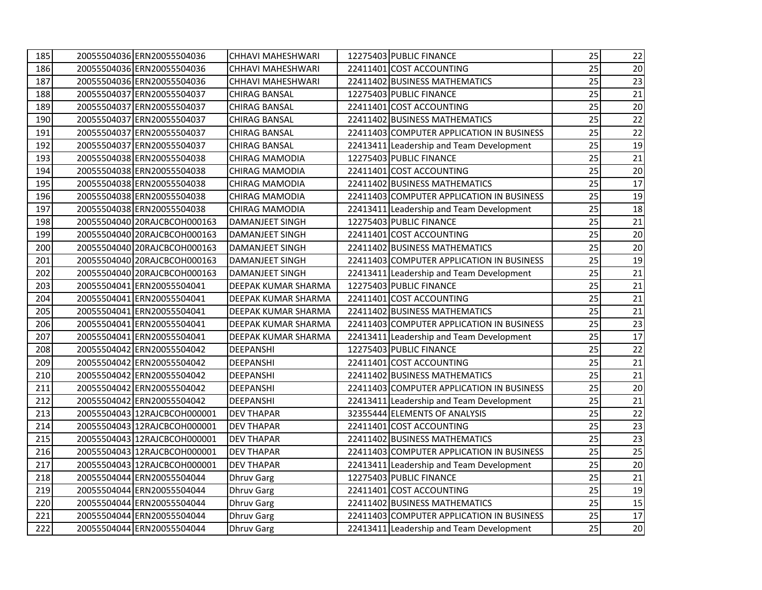| 185 | 20055504036 ERN20055504036   | <b>CHHAVI MAHESHWARI</b> | 12275403 PUBLIC FINANCE                   | 25 | 22     |
|-----|------------------------------|--------------------------|-------------------------------------------|----|--------|
| 186 | 20055504036 ERN20055504036   | <b>CHHAVI MAHESHWARI</b> | 22411401 COST ACCOUNTING                  | 25 | 20     |
| 187 | 20055504036 ERN20055504036   | CHHAVI MAHESHWARI        | 22411402 BUSINESS MATHEMATICS             | 25 | 23     |
| 188 | 20055504037 ERN20055504037   | <b>CHIRAG BANSAL</b>     | 12275403 PUBLIC FINANCE                   | 25 | 21     |
| 189 | 20055504037 ERN20055504037   | <b>CHIRAG BANSAL</b>     | 22411401 COST ACCOUNTING                  | 25 | 20     |
| 190 | 20055504037 ERN20055504037   | <b>CHIRAG BANSAL</b>     | 22411402 BUSINESS MATHEMATICS             | 25 | 22     |
| 191 | 20055504037 ERN20055504037   | <b>CHIRAG BANSAL</b>     | 22411403 COMPUTER APPLICATION IN BUSINESS | 25 | $22\,$ |
| 192 | 20055504037 ERN20055504037   | <b>CHIRAG BANSAL</b>     | 22413411 Leadership and Team Development  | 25 | 19     |
| 193 | 20055504038 ERN20055504038   | <b>CHIRAG MAMODIA</b>    | 12275403 PUBLIC FINANCE                   | 25 | 21     |
| 194 | 20055504038 ERN20055504038   | <b>CHIRAG MAMODIA</b>    | 22411401 COST ACCOUNTING                  | 25 | 20     |
| 195 | 20055504038 ERN20055504038   | <b>CHIRAG MAMODIA</b>    | 22411402 BUSINESS MATHEMATICS             | 25 | $17\,$ |
| 196 | 20055504038 ERN20055504038   | <b>CHIRAG MAMODIA</b>    | 22411403 COMPUTER APPLICATION IN BUSINESS | 25 | 19     |
| 197 | 20055504038 ERN20055504038   | <b>CHIRAG MAMODIA</b>    | 22413411 Leadership and Team Development  | 25 | 18     |
| 198 | 20055504040 20RAJCBCOH000163 | <b>DAMANJEET SINGH</b>   | 12275403 PUBLIC FINANCE                   | 25 | 21     |
| 199 | 20055504040 20RAJCBCOH000163 | <b>DAMANJEET SINGH</b>   | 22411401 COST ACCOUNTING                  | 25 | 20     |
| 200 | 20055504040 20RAJCBCOH000163 | <b>DAMANJEET SINGH</b>   | 22411402 BUSINESS MATHEMATICS             | 25 | 20     |
| 201 | 20055504040 20RAJCBCOH000163 | DAMANJEET SINGH          | 22411403 COMPUTER APPLICATION IN BUSINESS | 25 | 19     |
| 202 | 20055504040 20RAJCBCOH000163 | <b>DAMANJEET SINGH</b>   | 22413411 Leadership and Team Development  | 25 | 21     |
| 203 | 20055504041 ERN20055504041   | DEEPAK KUMAR SHARMA      | 12275403 PUBLIC FINANCE                   | 25 | 21     |
| 204 | 20055504041 ERN20055504041   | DEEPAK KUMAR SHARMA      | 22411401 COST ACCOUNTING                  | 25 | 21     |
| 205 | 20055504041 ERN20055504041   | DEEPAK KUMAR SHARMA      | 22411402 BUSINESS MATHEMATICS             | 25 | 21     |
| 206 | 20055504041 ERN20055504041   | DEEPAK KUMAR SHARMA      | 22411403 COMPUTER APPLICATION IN BUSINESS | 25 | 23     |
| 207 | 20055504041 ERN20055504041   | DEEPAK KUMAR SHARMA      | 22413411 Leadership and Team Development  | 25 | $17\,$ |
| 208 | 20055504042 ERN20055504042   | DEEPANSHI                | 12275403 PUBLIC FINANCE                   | 25 | 22     |
| 209 | 20055504042 ERN20055504042   | DEEPANSHI                | 22411401 COST ACCOUNTING                  | 25 | 21     |
| 210 | 20055504042 ERN20055504042   | DEEPANSHI                | 22411402 BUSINESS MATHEMATICS             | 25 | 21     |
| 211 | 20055504042 ERN20055504042   | DEEPANSHI                | 22411403 COMPUTER APPLICATION IN BUSINESS | 25 | 20     |
| 212 | 20055504042 ERN20055504042   | DEEPANSHI                | 22413411 Leadership and Team Development  | 25 | 21     |
| 213 | 20055504043 12RAJCBCOH000001 | <b>DEV THAPAR</b>        | 32355444 ELEMENTS OF ANALYSIS             | 25 | 22     |
| 214 | 20055504043 12RAJCBCOH000001 | <b>DEV THAPAR</b>        | 22411401 COST ACCOUNTING                  | 25 | 23     |
| 215 | 20055504043 12RAJCBCOH000001 | <b>DEV THAPAR</b>        | 22411402 BUSINESS MATHEMATICS             | 25 | 23     |
| 216 | 20055504043 12RAJCBCOH000001 | <b>DEV THAPAR</b>        | 22411403 COMPUTER APPLICATION IN BUSINESS | 25 | 25     |
| 217 | 20055504043112RAJCBCOH000001 | <b>DEV THAPAR</b>        | 22413411 Leadership and Team Development  | 25 | 20     |
| 218 | 20055504044 ERN20055504044   | <b>Dhruv Garg</b>        | 12275403 PUBLIC FINANCE                   | 25 | 21     |
| 219 | 20055504044 ERN20055504044   | <b>Dhruv Garg</b>        | 22411401 COST ACCOUNTING                  | 25 | 19     |
| 220 | 20055504044 ERN20055504044   | <b>Dhruv Garg</b>        | 22411402 BUSINESS MATHEMATICS             | 25 | 15     |
| 221 | 20055504044 ERN20055504044   | <b>Dhruv Garg</b>        | 22411403 COMPUTER APPLICATION IN BUSINESS | 25 | $17\,$ |
| 222 | 20055504044 ERN20055504044   | <b>Dhruv Garg</b>        | 22413411 Leadership and Team Development  | 25 | 20     |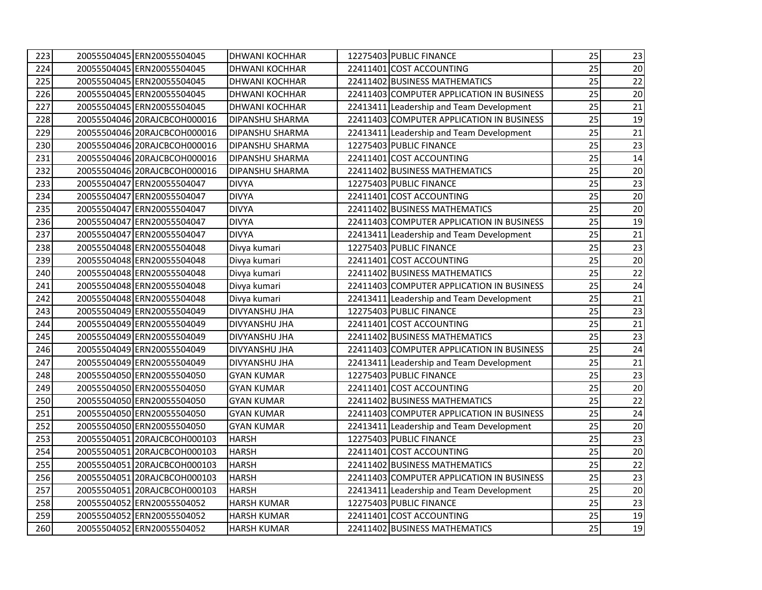| 223 | 20055504045 ERN20055504045   | <b>DHWANI KOCHHAR</b>  | 12275403 PUBLIC FINANCE                   | 25 | 23     |
|-----|------------------------------|------------------------|-------------------------------------------|----|--------|
| 224 | 20055504045 ERN20055504045   | <b>DHWANI KOCHHAR</b>  | 22411401 COST ACCOUNTING                  | 25 | 20     |
| 225 | 20055504045 ERN20055504045   | <b>DHWANI KOCHHAR</b>  | 22411402 BUSINESS MATHEMATICS             | 25 | 22     |
| 226 | 20055504045 ERN20055504045   | <b>DHWANI KOCHHAR</b>  | 22411403 COMPUTER APPLICATION IN BUSINESS | 25 | 20     |
| 227 | 20055504045 ERN20055504045   | <b>DHWANI KOCHHAR</b>  | 22413411 Leadership and Team Development  | 25 | 21     |
| 228 | 20055504046 20RAJCBCOH000016 | DIPANSHU SHARMA        | 22411403 COMPUTER APPLICATION IN BUSINESS | 25 | 19     |
| 229 | 20055504046 20RAJCBCOH000016 | <b>DIPANSHU SHARMA</b> | 22413411 Leadership and Team Development  | 25 | $21\,$ |
| 230 | 20055504046 20RAJCBCOH000016 | <b>DIPANSHU SHARMA</b> | 12275403 PUBLIC FINANCE                   | 25 | 23     |
| 231 | 20055504046 20RAJCBCOH000016 | <b>DIPANSHU SHARMA</b> | 22411401 COST ACCOUNTING                  | 25 | 14     |
| 232 | 20055504046 20RAJCBCOH000016 | DIPANSHU SHARMA        | 22411402 BUSINESS MATHEMATICS             | 25 | $20\,$ |
| 233 | 20055504047 ERN20055504047   | <b>DIVYA</b>           | 12275403 PUBLIC FINANCE                   | 25 | 23     |
| 234 | 20055504047 ERN20055504047   | <b>DIVYA</b>           | 22411401 COST ACCOUNTING                  | 25 | $20\,$ |
| 235 | 20055504047 ERN20055504047   | <b>DIVYA</b>           | 22411402 BUSINESS MATHEMATICS             | 25 | 20     |
| 236 | 20055504047 ERN20055504047   | <b>DIVYA</b>           | 22411403 COMPUTER APPLICATION IN BUSINESS | 25 | 19     |
| 237 | 20055504047 ERN20055504047   | <b>DIVYA</b>           | 22413411 Leadership and Team Development  | 25 | 21     |
| 238 | 20055504048 ERN20055504048   | Divya kumari           | 12275403 PUBLIC FINANCE                   | 25 | 23     |
| 239 | 20055504048 ERN20055504048   | Divya kumari           | 22411401 COST ACCOUNTING                  | 25 | 20     |
| 240 | 20055504048 ERN20055504048   | Divya kumari           | 22411402 BUSINESS MATHEMATICS             | 25 | 22     |
| 241 | 20055504048 ERN20055504048   | Divya kumari           | 22411403 COMPUTER APPLICATION IN BUSINESS | 25 | 24     |
| 242 | 20055504048 ERN20055504048   | Divya kumari           | 22413411 Leadership and Team Development  | 25 | 21     |
| 243 | 20055504049 ERN20055504049   | <b>DIVYANSHU JHA</b>   | 12275403 PUBLIC FINANCE                   | 25 | 23     |
| 244 | 20055504049 ERN20055504049   | DIVYANSHU JHA          | 22411401 COST ACCOUNTING                  | 25 | 21     |
| 245 | 20055504049 ERN20055504049   | DIVYANSHU JHA          | 22411402 BUSINESS MATHEMATICS             | 25 | 23     |
| 246 | 20055504049 ERN20055504049   | DIVYANSHU JHA          | 22411403 COMPUTER APPLICATION IN BUSINESS | 25 | 24     |
| 247 | 20055504049 ERN20055504049   | DIVYANSHU JHA          | 22413411 Leadership and Team Development  | 25 | 21     |
| 248 | 20055504050 ERN20055504050   | <b>GYAN KUMAR</b>      | 12275403 PUBLIC FINANCE                   | 25 | 23     |
| 249 | 20055504050 ERN20055504050   | <b>GYAN KUMAR</b>      | 22411401 COST ACCOUNTING                  | 25 | 20     |
| 250 | 20055504050 ERN20055504050   | <b>GYAN KUMAR</b>      | 22411402 BUSINESS MATHEMATICS             | 25 | 22     |
| 251 | 20055504050 ERN20055504050   | <b>GYAN KUMAR</b>      | 22411403 COMPUTER APPLICATION IN BUSINESS | 25 | 24     |
| 252 | 20055504050 ERN20055504050   | <b>GYAN KUMAR</b>      | 22413411 Leadership and Team Development  | 25 | 20     |
| 253 | 20055504051 20RAJCBCOH000103 | <b>HARSH</b>           | 12275403 PUBLIC FINANCE                   | 25 | 23     |
| 254 | 20055504051 20RAJCBCOH000103 | <b>HARSH</b>           | 22411401 COST ACCOUNTING                  | 25 | 20     |
| 255 | 20055504051 20RAJCBCOH000103 | <b>HARSH</b>           | 22411402 BUSINESS MATHEMATICS             | 25 | 22     |
| 256 | 20055504051 20RAJCBCOH000103 | <b>HARSH</b>           | 22411403 COMPUTER APPLICATION IN BUSINESS | 25 | 23     |
| 257 | 20055504051 20RAJCBCOH000103 | <b>HARSH</b>           | 22413411 Leadership and Team Development  | 25 | 20     |
| 258 | 20055504052 ERN20055504052   | <b>HARSH KUMAR</b>     | 12275403 PUBLIC FINANCE                   | 25 | 23     |
| 259 | 20055504052 ERN20055504052   | <b>HARSH KUMAR</b>     | 22411401 COST ACCOUNTING                  | 25 | 19     |
| 260 | 20055504052 ERN20055504052   | <b>HARSH KUMAR</b>     | 22411402 BUSINESS MATHEMATICS             | 25 | 19     |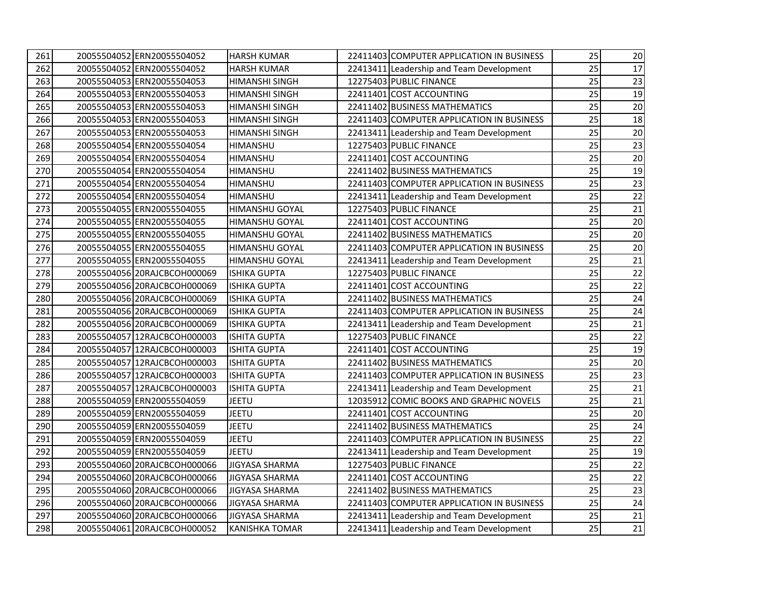| 261 | 20055504052 ERN20055504052   | <b>HARSH KUMAR</b>    | 22411403 COMPUTER APPLICATION IN BUSINESS | 25 | 20     |
|-----|------------------------------|-----------------------|-------------------------------------------|----|--------|
| 262 | 20055504052 ERN20055504052   | <b>HARSH KUMAR</b>    | 22413411 Leadership and Team Development  | 25 | 17     |
| 263 | 20055504053 ERN20055504053   | <b>HIMANSHI SINGH</b> | 12275403 PUBLIC FINANCE                   | 25 | 23     |
| 264 | 20055504053 ERN20055504053   | <b>HIMANSHI SINGH</b> | 22411401 COST ACCOUNTING                  | 25 | 19     |
| 265 | 20055504053 ERN20055504053   | <b>HIMANSHI SINGH</b> | 22411402 BUSINESS MATHEMATICS             | 25 | 20     |
| 266 | 20055504053 ERN20055504053   | <b>HIMANSHI SINGH</b> | 22411403 COMPUTER APPLICATION IN BUSINESS | 25 | 18     |
| 267 | 20055504053 ERN20055504053   | <b>HIMANSHI SINGH</b> | 22413411 Leadership and Team Development  | 25 | $20\,$ |
| 268 | 20055504054 ERN20055504054   | <b>HIMANSHU</b>       | 12275403 PUBLIC FINANCE                   | 25 | 23     |
| 269 | 20055504054 ERN20055504054   | <b>HIMANSHU</b>       | 22411401 COST ACCOUNTING                  | 25 | $20\,$ |
| 270 | 20055504054 ERN20055504054   | <b>HIMANSHU</b>       | 22411402 BUSINESS MATHEMATICS             | 25 | 19     |
| 271 | 20055504054 ERN20055504054   | <b>HIMANSHU</b>       | 22411403 COMPUTER APPLICATION IN BUSINESS | 25 | 23     |
| 272 | 20055504054 ERN20055504054   | <b>HIMANSHU</b>       | 22413411 Leadership and Team Development  | 25 | 22     |
| 273 | 20055504055 ERN20055504055   | <b>HIMANSHU GOYAL</b> | 12275403 PUBLIC FINANCE                   | 25 | 21     |
| 274 | 20055504055 ERN20055504055   | <b>HIMANSHU GOYAL</b> | 22411401 COST ACCOUNTING                  | 25 | 20     |
| 275 | 20055504055 ERN20055504055   | <b>HIMANSHU GOYAL</b> | 22411402 BUSINESS MATHEMATICS             | 25 | $20\,$ |
| 276 | 20055504055 ERN20055504055   | <b>HIMANSHU GOYAL</b> | 22411403 COMPUTER APPLICATION IN BUSINESS | 25 | 20     |
| 277 | 20055504055 ERN20055504055   | <b>HIMANSHU GOYAL</b> | 22413411 Leadership and Team Development  | 25 | 21     |
| 278 | 20055504056 20RAJCBCOH000069 | <b>ISHIKA GUPTA</b>   | 12275403 PUBLIC FINANCE                   | 25 | 22     |
| 279 | 20055504056 20RAJCBCOH000069 | <b>ISHIKA GUPTA</b>   | 22411401 COST ACCOUNTING                  | 25 | 22     |
| 280 | 20055504056 20RAJCBCOH000069 | <b>ISHIKA GUPTA</b>   | 22411402 BUSINESS MATHEMATICS             | 25 | 24     |
| 281 | 20055504056 20RAJCBCOH000069 | <b>ISHIKA GUPTA</b>   | 22411403 COMPUTER APPLICATION IN BUSINESS | 25 | 24     |
| 282 | 20055504056 20RAJCBCOH000069 | <b>ISHIKA GUPTA</b>   | 22413411 Leadership and Team Development  | 25 | 21     |
| 283 | 20055504057 12RAJCBCOH000003 | <b>ISHITA GUPTA</b>   | 12275403 PUBLIC FINANCE                   | 25 | 22     |
| 284 | 20055504057 12RAJCBCOH000003 | <b>ISHITA GUPTA</b>   | 22411401 COST ACCOUNTING                  | 25 | 19     |
| 285 | 20055504057 12RAJCBCOH000003 | <b>ISHITA GUPTA</b>   | 22411402 BUSINESS MATHEMATICS             | 25 | 20     |
| 286 | 20055504057112RAJCBCOH000003 | <b>ISHITA GUPTA</b>   | 22411403 COMPUTER APPLICATION IN BUSINESS | 25 | 23     |
| 287 | 20055504057112RAJCBCOH000003 | <b>ISHITA GUPTA</b>   | 22413411 Leadership and Team Development  | 25 | 21     |
| 288 | 20055504059 ERN20055504059   | <b>JEETU</b>          | 12035912 COMIC BOOKS AND GRAPHIC NOVELS   | 25 | 21     |
| 289 | 20055504059 ERN20055504059   | <b>JEETU</b>          | 22411401 COST ACCOUNTING                  | 25 | 20     |
| 290 | 20055504059 ERN20055504059   | <b>JEETU</b>          | 22411402 BUSINESS MATHEMATICS             | 25 | 24     |
| 291 | 20055504059 ERN20055504059   | <b>JEETU</b>          | 22411403 COMPUTER APPLICATION IN BUSINESS | 25 | 22     |
| 292 | 20055504059 ERN20055504059   | <b>JEETU</b>          | 22413411 Leadership and Team Development  | 25 | 19     |
| 293 | 20055504060 20RAJCBCOH000066 | <b>JIGYASA SHARMA</b> | 12275403 PUBLIC FINANCE                   | 25 | 22     |
| 294 | 20055504060 20RAJCBCOH000066 | <b>JIGYASA SHARMA</b> | 22411401 COST ACCOUNTING                  | 25 | 22     |
| 295 | 20055504060 20RAJCBCOH000066 | <b>JIGYASA SHARMA</b> | 22411402 BUSINESS MATHEMATICS             | 25 | 23     |
| 296 | 20055504060 20RAJCBCOH000066 | <b>JIGYASA SHARMA</b> | 22411403 COMPUTER APPLICATION IN BUSINESS | 25 | 24     |
| 297 | 20055504060 20RAJCBCOH000066 | <b>JIGYASA SHARMA</b> | 22413411 Leadership and Team Development  | 25 | 21     |
| 298 | 20055504061 20RAJCBCOH000052 | <b>KANISHKA TOMAR</b> | 22413411 Leadership and Team Development  | 25 | 21     |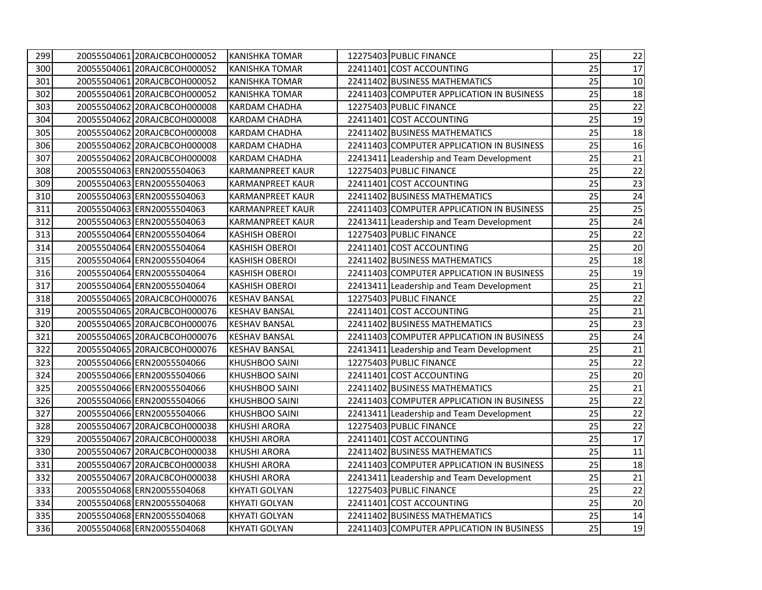| 299 | 20055504061 20RAJCBCOH000052 | <b>KANISHKA TOMAR</b>   | 12275403 PUBLIC FINANCE                   | 25 | 22     |
|-----|------------------------------|-------------------------|-------------------------------------------|----|--------|
| 300 | 20055504061120RAJCBCOH000052 | <b>KANISHKA TOMAR</b>   | 22411401 COST ACCOUNTING                  | 25 | 17     |
| 301 | 20055504061120RAJCBCOH000052 | <b>KANISHKA TOMAR</b>   | 22411402 BUSINESS MATHEMATICS             | 25 | 10     |
| 302 | 20055504061 20RAJCBCOH000052 | KANISHKA TOMAR          | 22411403 COMPUTER APPLICATION IN BUSINESS | 25 | 18     |
| 303 | 20055504062 20RAJCBCOH000008 | <b>KARDAM CHADHA</b>    | 12275403 PUBLIC FINANCE                   | 25 | 22     |
| 304 | 20055504062 20RAJCBCOH000008 | <b>KARDAM CHADHA</b>    | 22411401 COST ACCOUNTING                  | 25 | 19     |
| 305 | 20055504062 20RAJCBCOH000008 | KARDAM CHADHA           | 22411402 BUSINESS MATHEMATICS             | 25 | 18     |
| 306 | 20055504062 20RAJCBCOH000008 | <b>KARDAM CHADHA</b>    | 22411403 COMPUTER APPLICATION IN BUSINESS | 25 | 16     |
| 307 | 20055504062 20RAJCBCOH000008 | <b>KARDAM CHADHA</b>    | 22413411 Leadership and Team Development  | 25 | 21     |
| 308 | 20055504063 ERN20055504063   | <b>KARMANPREET KAUR</b> | 12275403 PUBLIC FINANCE                   | 25 | 22     |
| 309 | 20055504063 ERN20055504063   | <b>KARMANPREET KAUR</b> | 22411401 COST ACCOUNTING                  | 25 | 23     |
| 310 | 20055504063 ERN20055504063   | <b>KARMANPREET KAUR</b> | 22411402 BUSINESS MATHEMATICS             | 25 | 24     |
| 311 | 20055504063 ERN20055504063   | <b>KARMANPREET KAUR</b> | 22411403 COMPUTER APPLICATION IN BUSINESS | 25 | 25     |
| 312 | 20055504063 ERN20055504063   | <b>KARMANPREET KAUR</b> | 22413411 Leadership and Team Development  | 25 | 24     |
| 313 | 20055504064 ERN20055504064   | <b>KASHISH OBEROI</b>   | 12275403 PUBLIC FINANCE                   | 25 | 22     |
| 314 | 20055504064 ERN20055504064   | <b>KASHISH OBEROI</b>   | 22411401 COST ACCOUNTING                  | 25 | 20     |
| 315 | 20055504064 ERN20055504064   | <b>KASHISH OBEROI</b>   | 22411402 BUSINESS MATHEMATICS             | 25 | 18     |
| 316 | 20055504064 ERN20055504064   | <b>KASHISH OBEROI</b>   | 22411403 COMPUTER APPLICATION IN BUSINESS | 25 | 19     |
| 317 | 20055504064 ERN20055504064   | <b>KASHISH OBEROI</b>   | 22413411 Leadership and Team Development  | 25 | 21     |
| 318 | 20055504065 20RAJCBCOH000076 | <b>KESHAV BANSAL</b>    | 12275403 PUBLIC FINANCE                   | 25 | 22     |
| 319 | 20055504065 20RAJCBCOH000076 | <b>KESHAV BANSAL</b>    | 22411401 COST ACCOUNTING                  | 25 | 21     |
| 320 | 20055504065 20RAJCBCOH000076 | <b>KESHAV BANSAL</b>    | 22411402 BUSINESS MATHEMATICS             | 25 | 23     |
| 321 | 20055504065 20RAJCBCOH000076 | <b>KESHAV BANSAL</b>    | 22411403 COMPUTER APPLICATION IN BUSINESS | 25 | 24     |
| 322 | 20055504065 20RAJCBCOH000076 | <b>KESHAV BANSAL</b>    | 22413411 Leadership and Team Development  | 25 | 21     |
| 323 | 20055504066 ERN20055504066   | KHUSHBOO SAINI          | 12275403 PUBLIC FINANCE                   | 25 | 22     |
| 324 | 20055504066 ERN20055504066   | KHUSHBOO SAINI          | 22411401 COST ACCOUNTING                  | 25 | $20\,$ |
| 325 | 20055504066 ERN20055504066   | <b>KHUSHBOO SAINI</b>   | 22411402 BUSINESS MATHEMATICS             | 25 | 21     |
| 326 | 20055504066 ERN20055504066   | <b>KHUSHBOO SAINI</b>   | 22411403 COMPUTER APPLICATION IN BUSINESS | 25 | 22     |
| 327 | 20055504066 ERN20055504066   | <b>KHUSHBOO SAINI</b>   | 22413411 Leadership and Team Development  | 25 | 22     |
| 328 | 20055504067 20RAJCBCOH000038 | <b>KHUSHI ARORA</b>     | 12275403 PUBLIC FINANCE                   | 25 | 22     |
| 329 | 20055504067 20RAJCBCOH000038 | <b>KHUSHI ARORA</b>     | 22411401 COST ACCOUNTING                  | 25 | 17     |
| 330 | 20055504067 20RAJCBCOH000038 | <b>KHUSHI ARORA</b>     | 22411402 BUSINESS MATHEMATICS             | 25 | 11     |
| 331 | 20055504067 20RAJCBCOH000038 | <b>KHUSHI ARORA</b>     | 22411403 COMPUTER APPLICATION IN BUSINESS | 25 | 18     |
| 332 | 20055504067 20RAJCBCOH000038 | <b>KHUSHI ARORA</b>     | 22413411 Leadership and Team Development  | 25 | 21     |
| 333 | 20055504068 ERN20055504068   | <b>KHYATI GOLYAN</b>    | 12275403 PUBLIC FINANCE                   | 25 | 22     |
| 334 | 20055504068 ERN20055504068   | <b>KHYATI GOLYAN</b>    | 22411401 COST ACCOUNTING                  | 25 | 20     |
| 335 | 20055504068 ERN20055504068   | <b>KHYATI GOLYAN</b>    | 22411402 BUSINESS MATHEMATICS             | 25 | 14     |
| 336 | 20055504068 ERN20055504068   | <b>KHYATI GOLYAN</b>    | 22411403 COMPUTER APPLICATION IN BUSINESS | 25 | 19     |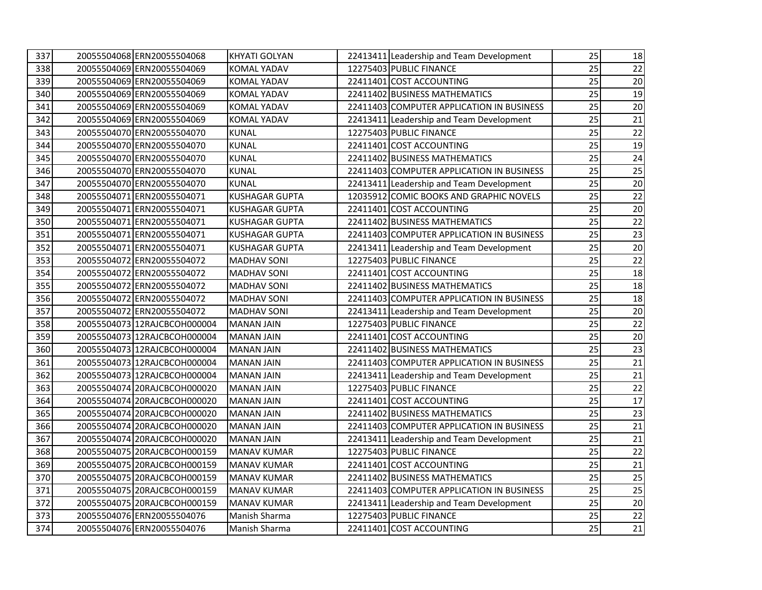| 337 | 20055504068 ERN20055504068   | KHYATI GOLYAN         | 22413411 Leadership and Team Development  | 25 | 18     |
|-----|------------------------------|-----------------------|-------------------------------------------|----|--------|
| 338 | 20055504069 ERN20055504069   | <b>KOMAL YADAV</b>    | 12275403 PUBLIC FINANCE                   | 25 | 22     |
| 339 | 20055504069 ERN20055504069   | <b>KOMAL YADAV</b>    | 22411401 COST ACCOUNTING                  | 25 | 20     |
| 340 | 20055504069 ERN20055504069   | <b>KOMAL YADAV</b>    | 22411402 BUSINESS MATHEMATICS             | 25 | 19     |
| 341 | 20055504069 ERN20055504069   | <b>KOMAL YADAV</b>    | 22411403 COMPUTER APPLICATION IN BUSINESS | 25 | 20     |
| 342 | 20055504069 ERN20055504069   | <b>KOMAL YADAV</b>    | 22413411 Leadership and Team Development  | 25 | 21     |
| 343 | 20055504070 ERN20055504070   | <b>KUNAL</b>          | 12275403 PUBLIC FINANCE                   | 25 | 22     |
| 344 | 20055504070 ERN20055504070   | <b>KUNAL</b>          | 22411401 COST ACCOUNTING                  | 25 | 19     |
| 345 | 20055504070 ERN20055504070   | <b>KUNAL</b>          | 22411402 BUSINESS MATHEMATICS             | 25 | 24     |
| 346 | 20055504070 ERN20055504070   | <b>KUNAL</b>          | 22411403 COMPUTER APPLICATION IN BUSINESS | 25 | 25     |
| 347 | 20055504070 ERN20055504070   | <b>KUNAL</b>          | 22413411 Leadership and Team Development  | 25 | 20     |
| 348 | 20055504071 ERN20055504071   | <b>KUSHAGAR GUPTA</b> | 12035912 COMIC BOOKS AND GRAPHIC NOVELS   | 25 | 22     |
| 349 | 20055504071 ERN20055504071   | <b>KUSHAGAR GUPTA</b> | 22411401 COST ACCOUNTING                  | 25 | 20     |
| 350 | 20055504071 ERN20055504071   | <b>KUSHAGAR GUPTA</b> | 22411402 BUSINESS MATHEMATICS             | 25 | 22     |
| 351 | 20055504071 ERN20055504071   | <b>KUSHAGAR GUPTA</b> | 22411403 COMPUTER APPLICATION IN BUSINESS | 25 | 23     |
| 352 | 20055504071 ERN20055504071   | <b>KUSHAGAR GUPTA</b> | 22413411 Leadership and Team Development  | 25 | 20     |
| 353 | 20055504072 ERN20055504072   | <b>MADHAV SONI</b>    | 12275403 PUBLIC FINANCE                   | 25 | 22     |
| 354 | 20055504072 ERN20055504072   | <b>MADHAV SONI</b>    | 22411401 COST ACCOUNTING                  | 25 | 18     |
| 355 | 20055504072 ERN20055504072   | <b>MADHAV SONI</b>    | 22411402 BUSINESS MATHEMATICS             | 25 | 18     |
| 356 | 20055504072 ERN20055504072   | <b>MADHAV SONI</b>    | 22411403 COMPUTER APPLICATION IN BUSINESS | 25 | 18     |
| 357 | 20055504072 ERN20055504072   | <b>MADHAV SONI</b>    | 22413411 Leadership and Team Development  | 25 | 20     |
| 358 | 2005550407312RAJCBCOH000004  | <b>MANAN JAIN</b>     | 12275403 PUBLIC FINANCE                   | 25 | 22     |
| 359 | 2005550407312RAJCBCOH000004  | <b>MANAN JAIN</b>     | 22411401 COST ACCOUNTING                  | 25 | 20     |
| 360 | 20055504073112RAJCBCOH000004 | <b>MANAN JAIN</b>     | 22411402 BUSINESS MATHEMATICS             | 25 | 23     |
| 361 | 20055504073 12RAJCBCOH000004 | <b>MANAN JAIN</b>     | 22411403 COMPUTER APPLICATION IN BUSINESS | 25 | 21     |
| 362 | 20055504073 12RAJCBCOH000004 | <b>MANAN JAIN</b>     | 22413411 Leadership and Team Development  | 25 | 21     |
| 363 | 20055504074 20RAJCBCOH000020 | <b>MANAN JAIN</b>     | 12275403 PUBLIC FINANCE                   | 25 | 22     |
| 364 | 20055504074 20RAJCBCOH000020 | <b>MANAN JAIN</b>     | 22411401 COST ACCOUNTING                  | 25 | $17\,$ |
| 365 | 20055504074 20RAJCBCOH000020 | <b>MANAN JAIN</b>     | 22411402 BUSINESS MATHEMATICS             | 25 | 23     |
| 366 | 20055504074 20RAJCBCOH000020 | <b>MANAN JAIN</b>     | 22411403 COMPUTER APPLICATION IN BUSINESS | 25 | 21     |
| 367 | 20055504074 20RAJCBCOH000020 | <b>MANAN JAIN</b>     | 22413411 Leadership and Team Development  | 25 | 21     |
| 368 | 20055504075 20RAJCBCOH000159 | <b>MANAV KUMAR</b>    | 12275403 PUBLIC FINANCE                   | 25 | 22     |
| 369 | 20055504075 20RAJCBCOH000159 | <b>MANAV KUMAR</b>    | 22411401 COST ACCOUNTING                  | 25 | 21     |
| 370 | 20055504075 20RAJCBCOH000159 | <b>MANAV KUMAR</b>    | 22411402 BUSINESS MATHEMATICS             | 25 | 25     |
| 371 | 20055504075 20RAJCBCOH000159 | <b>MANAV KUMAR</b>    | 22411403 COMPUTER APPLICATION IN BUSINESS | 25 | 25     |
| 372 | 20055504075 20RAJCBCOH000159 | <b>MANAV KUMAR</b>    | 22413411 Leadership and Team Development  | 25 | 20     |
| 373 | 20055504076 ERN20055504076   | Manish Sharma         | 12275403 PUBLIC FINANCE                   | 25 | 22     |
| 374 | 20055504076 ERN20055504076   | Manish Sharma         | 22411401 COST ACCOUNTING                  | 25 | 21     |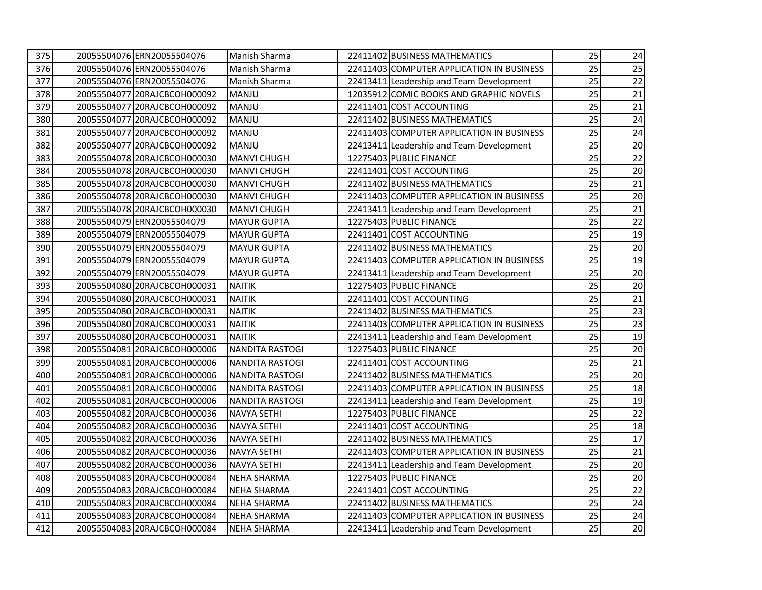| 375 | 20055504076 ERN20055504076   | Manish Sharma      | 22411402 BUSINESS MATHEMATICS             | 25 | 24 |
|-----|------------------------------|--------------------|-------------------------------------------|----|----|
| 376 | 20055504076 ERN20055504076   | Manish Sharma      | 22411403 COMPUTER APPLICATION IN BUSINESS | 25 | 25 |
| 377 | 20055504076 ERN20055504076   | Manish Sharma      | 22413411 Leadership and Team Development  | 25 | 22 |
| 378 | 20055504077 20RAJCBCOH000092 | <b>MANJU</b>       | 12035912 COMIC BOOKS AND GRAPHIC NOVELS   | 25 | 21 |
| 379 | 20055504077 20RAJCBCOH000092 | <b>MANJU</b>       | 22411401 COST ACCOUNTING                  | 25 | 21 |
| 380 | 20055504077 20RAJCBCOH000092 | <b>MANJU</b>       | 22411402 BUSINESS MATHEMATICS             | 25 | 24 |
| 381 | 20055504077 20RAJCBCOH000092 | <b>MANJU</b>       | 22411403 COMPUTER APPLICATION IN BUSINESS | 25 | 24 |
| 382 | 20055504077 20RAJCBCOH000092 | MANJU              | 22413411 Leadership and Team Development  | 25 | 20 |
| 383 | 20055504078 20RAJCBCOH000030 | <b>MANVI CHUGH</b> | 12275403 PUBLIC FINANCE                   | 25 | 22 |
| 384 | 20055504078 20RAJCBCOH000030 | <b>MANVI CHUGH</b> | 22411401 COST ACCOUNTING                  | 25 | 20 |
| 385 | 20055504078 20RAJCBCOH000030 | <b>MANVI CHUGH</b> | 22411402 BUSINESS MATHEMATICS             | 25 | 21 |
| 386 | 20055504078 20RAJCBCOH000030 | <b>MANVI CHUGH</b> | 22411403 COMPUTER APPLICATION IN BUSINESS | 25 | 20 |
| 387 | 20055504078 20RAJCBCOH000030 | <b>MANVI CHUGH</b> | 22413411 Leadership and Team Development  | 25 | 21 |
| 388 | 20055504079 ERN20055504079   | <b>MAYUR GUPTA</b> | 12275403 PUBLIC FINANCE                   | 25 | 22 |
| 389 | 20055504079 ERN20055504079   | <b>MAYUR GUPTA</b> | 22411401 COST ACCOUNTING                  | 25 | 19 |
| 390 | 20055504079 ERN20055504079   | <b>MAYUR GUPTA</b> | 22411402 BUSINESS MATHEMATICS             | 25 | 20 |
| 391 | 20055504079 ERN20055504079   | <b>MAYUR GUPTA</b> | 22411403 COMPUTER APPLICATION IN BUSINESS | 25 | 19 |
| 392 | 20055504079 ERN20055504079   | <b>MAYUR GUPTA</b> | 22413411 Leadership and Team Development  | 25 | 20 |
| 393 | 20055504080 20RAJCBCOH000031 | <b>NAITIK</b>      | 12275403 PUBLIC FINANCE                   | 25 | 20 |
| 394 | 20055504080 20RAJCBCOH000031 | <b>NAITIK</b>      | 22411401 COST ACCOUNTING                  | 25 | 21 |
| 395 | 20055504080 20RAJCBCOH000031 | <b>NAITIK</b>      | 22411402 BUSINESS MATHEMATICS             | 25 | 23 |
| 396 | 20055504080 20RAJCBCOH000031 | <b>NAITIK</b>      | 22411403 COMPUTER APPLICATION IN BUSINESS | 25 | 23 |
| 397 | 20055504080 20RAJCBCOH000031 | <b>NAITIK</b>      | 22413411 Leadership and Team Development  | 25 | 19 |
| 398 | 20055504081 20RAJCBCOH000006 | NANDITA RASTOGI    | 12275403 PUBLIC FINANCE                   | 25 | 20 |
| 399 | 20055504081 20RAJCBCOH000006 | NANDITA RASTOGI    | 22411401 COST ACCOUNTING                  | 25 | 21 |
| 400 | 20055504081 20RAJCBCOH000006 | NANDITA RASTOGI    | 22411402 BUSINESS MATHEMATICS             | 25 | 20 |
| 401 | 20055504081 20RAJCBCOH000006 | NANDITA RASTOGI    | 22411403 COMPUTER APPLICATION IN BUSINESS | 25 | 18 |
| 402 | 20055504081 20RAJCBCOH000006 | NANDITA RASTOGI    | 22413411 Leadership and Team Development  | 25 | 19 |
| 403 | 20055504082 20RAJCBCOH000036 | <b>NAVYA SETHI</b> | 12275403 PUBLIC FINANCE                   | 25 | 22 |
| 404 | 20055504082 20RAJCBCOH000036 | <b>NAVYA SETHI</b> | 22411401 COST ACCOUNTING                  | 25 | 18 |
| 405 | 20055504082 20RAJCBCOH000036 | <b>NAVYA SETHI</b> | 22411402 BUSINESS MATHEMATICS             | 25 | 17 |
| 406 | 20055504082 20RAJCBCOH000036 | <b>NAVYA SETHI</b> | 22411403 COMPUTER APPLICATION IN BUSINESS | 25 | 21 |
| 407 | 20055504082 20RAJCBCOH000036 | <b>NAVYA SETHI</b> | 22413411 Leadership and Team Development  | 25 | 20 |
| 408 | 20055504083 20RAJCBCOH000084 | <b>NEHA SHARMA</b> | 12275403 PUBLIC FINANCE                   | 25 | 20 |
| 409 | 20055504083 20RAJCBCOH000084 | <b>NEHA SHARMA</b> | 22411401 COST ACCOUNTING                  | 25 | 22 |
| 410 | 20055504083 20RAJCBCOH000084 | <b>NEHA SHARMA</b> | 22411402 BUSINESS MATHEMATICS             | 25 | 24 |
| 411 | 20055504083120RAJCBCOH000084 | <b>NEHA SHARMA</b> | 22411403 COMPUTER APPLICATION IN BUSINESS | 25 | 24 |
| 412 | 20055504083 20RAJCBCOH000084 | <b>NEHA SHARMA</b> | 22413411 Leadership and Team Development  | 25 | 20 |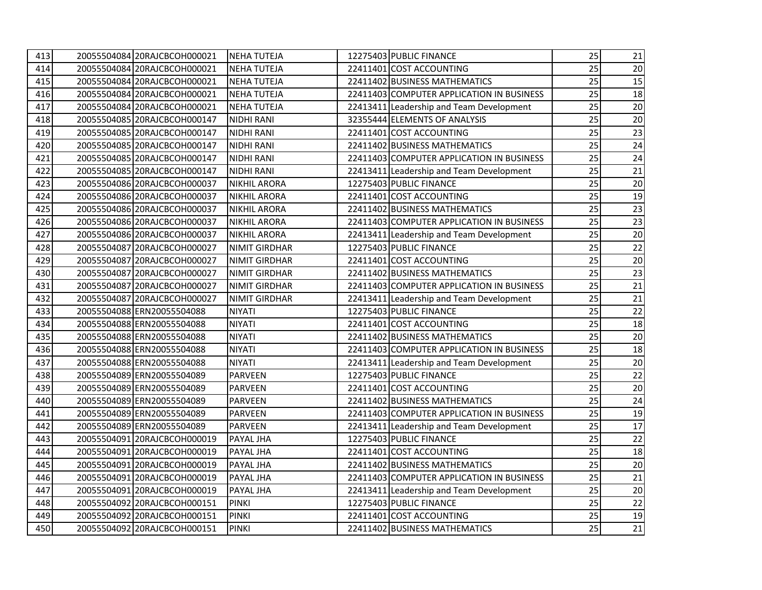| 413 | 20055504084 20RAJCBCOH000021 | <b>NEHA TUTEJA</b>   | 12275403 PUBLIC FINANCE                   | 25 | 21     |
|-----|------------------------------|----------------------|-------------------------------------------|----|--------|
| 414 | 20055504084 20RAJCBCOH000021 | <b>NEHA TUTEJA</b>   | 22411401 COST ACCOUNTING                  | 25 | 20     |
| 415 | 20055504084 20RAJCBCOH000021 | <b>NEHA TUTEJA</b>   | 22411402 BUSINESS MATHEMATICS             | 25 | 15     |
| 416 | 20055504084 20RAJCBCOH000021 | <b>NEHA TUTEJA</b>   | 22411403 COMPUTER APPLICATION IN BUSINESS | 25 | 18     |
| 417 | 20055504084 20RAJCBCOH000021 | <b>NEHA TUTEJA</b>   | 22413411 Leadership and Team Development  | 25 | 20     |
| 418 | 20055504085120RAJCBCOH000147 | <b>NIDHI RANI</b>    | 32355444 ELEMENTS OF ANALYSIS             | 25 | 20     |
| 419 | 20055504085 20RAJCBCOH000147 | <b>NIDHI RANI</b>    | 22411401 COST ACCOUNTING                  | 25 | 23     |
| 420 | 20055504085 20RAJCBCOH000147 | <b>NIDHI RANI</b>    | 22411402 BUSINESS MATHEMATICS             | 25 | 24     |
| 421 | 20055504085 20RAJCBCOH000147 | <b>NIDHI RANI</b>    | 22411403 COMPUTER APPLICATION IN BUSINESS | 25 | 24     |
| 422 | 20055504085 20RAJCBCOH000147 | <b>NIDHI RANI</b>    | 22413411 Leadership and Team Development  | 25 | 21     |
| 423 | 20055504086 20RAJCBCOH000037 | <b>NIKHIL ARORA</b>  | 12275403 PUBLIC FINANCE                   | 25 | 20     |
| 424 | 20055504086 20RAJCBCOH000037 | <b>NIKHIL ARORA</b>  | 22411401 COST ACCOUNTING                  | 25 | $19\,$ |
| 425 | 20055504086 20RAJCBCOH000037 | <b>NIKHIL ARORA</b>  | 22411402 BUSINESS MATHEMATICS             | 25 | 23     |
| 426 | 20055504086 20RAJCBCOH000037 | <b>NIKHIL ARORA</b>  | 22411403 COMPUTER APPLICATION IN BUSINESS | 25 | 23     |
| 427 | 20055504086 20RAJCBCOH000037 | <b>NIKHIL ARORA</b>  | 22413411 Leadership and Team Development  | 25 | $20\,$ |
| 428 | 20055504087 20RAJCBCOH000027 | <b>NIMIT GIRDHAR</b> | 12275403 PUBLIC FINANCE                   | 25 | 22     |
| 429 | 20055504087 20RAJCBCOH000027 | <b>NIMIT GIRDHAR</b> | 22411401 COST ACCOUNTING                  | 25 | $20\,$ |
| 430 | 20055504087 20RAJCBCOH000027 | <b>NIMIT GIRDHAR</b> | 22411402 BUSINESS MATHEMATICS             | 25 | 23     |
| 431 | 20055504087 20RAJCBCOH000027 | <b>NIMIT GIRDHAR</b> | 22411403 COMPUTER APPLICATION IN BUSINESS | 25 | 21     |
| 432 | 20055504087 20RAJCBCOH000027 | <b>NIMIT GIRDHAR</b> | 22413411 Leadership and Team Development  | 25 | 21     |
| 433 | 20055504088 ERN20055504088   | <b>NIYATI</b>        | 12275403 PUBLIC FINANCE                   | 25 | 22     |
| 434 | 20055504088 ERN20055504088   | <b>NIYATI</b>        | 22411401 COST ACCOUNTING                  | 25 | 18     |
| 435 | 20055504088 ERN20055504088   | <b>NIYATI</b>        | 22411402 BUSINESS MATHEMATICS             | 25 | 20     |
| 436 | 20055504088 ERN20055504088   | NIYATI               | 22411403 COMPUTER APPLICATION IN BUSINESS | 25 | 18     |
| 437 | 20055504088 ERN20055504088   | <b>NIYATI</b>        | 22413411 Leadership and Team Development  | 25 | 20     |
| 438 | 20055504089 ERN20055504089   | <b>PARVEEN</b>       | 12275403 PUBLIC FINANCE                   | 25 | 22     |
| 439 | 20055504089 ERN20055504089   | <b>PARVEEN</b>       | 22411401 COST ACCOUNTING                  | 25 | 20     |
| 440 | 20055504089 ERN20055504089   | <b>PARVEEN</b>       | 22411402 BUSINESS MATHEMATICS             | 25 | 24     |
| 441 | 20055504089 ERN20055504089   | PARVEEN              | 22411403 COMPUTER APPLICATION IN BUSINESS | 25 | 19     |
| 442 | 20055504089 ERN20055504089   | <b>PARVEEN</b>       | 22413411 Leadership and Team Development  | 25 | 17     |
| 443 | 20055504091 20RAJCBCOH000019 | PAYAL JHA            | 12275403 PUBLIC FINANCE                   | 25 | 22     |
| 444 | 20055504091 20RAJCBCOH000019 | PAYAL JHA            | 22411401 COST ACCOUNTING                  | 25 | 18     |
| 445 | 20055504091 20RAJCBCOH000019 | PAYAL JHA            | 22411402 BUSINESS MATHEMATICS             | 25 | 20     |
| 446 | 20055504091 20RAJCBCOH000019 | PAYAL JHA            | 22411403 COMPUTER APPLICATION IN BUSINESS | 25 | 21     |
| 447 | 20055504091 20RAJCBCOH000019 | PAYAL JHA            | 22413411 Leadership and Team Development  | 25 | 20     |
| 448 | 20055504092 20RAJCBCOH000151 | <b>PINKI</b>         | 12275403 PUBLIC FINANCE                   | 25 | 22     |
| 449 | 20055504092 20RAJCBCOH000151 | <b>PINKI</b>         | 22411401 COST ACCOUNTING                  | 25 | 19     |
| 450 | 20055504092 20RAJCBCOH000151 | <b>PINKI</b>         | 22411402 BUSINESS MATHEMATICS             | 25 | 21     |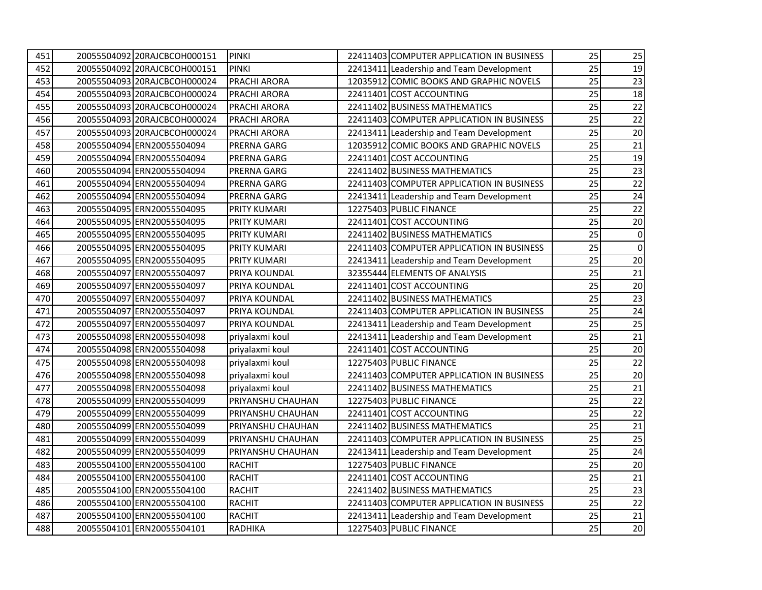| 451 | 20055504092 20RAJCBCOH000151 | <b>PINKI</b>        | 22411403 COMPUTER APPLICATION IN BUSINESS | 25 | 25          |
|-----|------------------------------|---------------------|-------------------------------------------|----|-------------|
| 452 | 20055504092 20RAJCBCOH000151 | <b>PINKI</b>        | 22413411 Leadership and Team Development  | 25 | 19          |
| 453 | 20055504093 20RAJCBCOH000024 | <b>PRACHI ARORA</b> | 12035912 COMIC BOOKS AND GRAPHIC NOVELS   | 25 | 23          |
| 454 | 20055504093 20RAJCBCOH000024 | PRACHI ARORA        | 22411401 COST ACCOUNTING                  | 25 | 18          |
| 455 | 20055504093 20RAJCBCOH000024 | PRACHI ARORA        | 22411402 BUSINESS MATHEMATICS             | 25 | 22          |
| 456 | 20055504093 20RAJCBCOH000024 | <b>PRACHI ARORA</b> | 22411403 COMPUTER APPLICATION IN BUSINESS | 25 | 22          |
| 457 | 20055504093 20RAJCBCOH000024 | PRACHI ARORA        | 22413411 Leadership and Team Development  | 25 | 20          |
| 458 | 20055504094 ERN20055504094   | PRERNA GARG         | 12035912 COMIC BOOKS AND GRAPHIC NOVELS   | 25 | 21          |
| 459 | 20055504094 ERN20055504094   | PRERNA GARG         | 22411401 COST ACCOUNTING                  | 25 | 19          |
| 460 | 20055504094 ERN20055504094   | PRERNA GARG         | 22411402 BUSINESS MATHEMATICS             | 25 | 23          |
| 461 | 20055504094 ERN20055504094   | <b>PRERNA GARG</b>  | 22411403 COMPUTER APPLICATION IN BUSINESS | 25 | 22          |
| 462 | 20055504094 ERN20055504094   | <b>PRERNA GARG</b>  | 22413411 Leadership and Team Development  | 25 | 24          |
| 463 | 20055504095 ERN20055504095   | <b>PRITY KUMARI</b> | 12275403 PUBLIC FINANCE                   | 25 | 22          |
| 464 | 20055504095 ERN20055504095   | <b>PRITY KUMARI</b> | 22411401 COST ACCOUNTING                  | 25 | $20\,$      |
| 465 | 20055504095 ERN20055504095   | <b>PRITY KUMARI</b> | 22411402 BUSINESS MATHEMATICS             | 25 | $\mathbf 0$ |
| 466 | 20055504095 ERN20055504095   | PRITY KUMARI        | 22411403 COMPUTER APPLICATION IN BUSINESS | 25 | $\mathsf 0$ |
| 467 | 20055504095 ERN20055504095   | <b>PRITY KUMARI</b> | 22413411 Leadership and Team Development  | 25 | 20          |
| 468 | 20055504097 ERN20055504097   | PRIYA KOUNDAL       | 32355444 ELEMENTS OF ANALYSIS             | 25 | 21          |
| 469 | 20055504097 ERN20055504097   | PRIYA KOUNDAL       | 22411401 COST ACCOUNTING                  | 25 | 20          |
| 470 | 20055504097 ERN20055504097   | PRIYA KOUNDAL       | 22411402 BUSINESS MATHEMATICS             | 25 | 23          |
| 471 | 20055504097 ERN20055504097   | PRIYA KOUNDAL       | 22411403 COMPUTER APPLICATION IN BUSINESS | 25 | 24          |
| 472 | 20055504097 ERN20055504097   | PRIYA KOUNDAL       | 22413411 Leadership and Team Development  | 25 | 25          |
| 473 | 20055504098 ERN20055504098   | priyalaxmi koul     | 22413411 Leadership and Team Development  | 25 | 21          |
| 474 | 20055504098 ERN20055504098   | priyalaxmi koul     | 22411401 COST ACCOUNTING                  | 25 | 20          |
| 475 | 20055504098 ERN20055504098   | priyalaxmi koul     | 12275403 PUBLIC FINANCE                   | 25 | 22          |
| 476 | 20055504098 ERN20055504098   | priyalaxmi koul     | 22411403 COMPUTER APPLICATION IN BUSINESS | 25 | 20          |
| 477 | 20055504098 ERN20055504098   | priyalaxmi koul     | 22411402 BUSINESS MATHEMATICS             | 25 | 21          |
| 478 | 20055504099 ERN20055504099   | PRIYANSHU CHAUHAN   | 12275403 PUBLIC FINANCE                   | 25 | 22          |
| 479 | 20055504099 ERN20055504099   | PRIYANSHU CHAUHAN   | 22411401 COST ACCOUNTING                  | 25 | 22          |
| 480 | 20055504099 ERN20055504099   | PRIYANSHU CHAUHAN   | 22411402 BUSINESS MATHEMATICS             | 25 | 21          |
| 481 | 20055504099 ERN20055504099   | PRIYANSHU CHAUHAN   | 22411403 COMPUTER APPLICATION IN BUSINESS | 25 | 25          |
| 482 | 20055504099 ERN20055504099   | PRIYANSHU CHAUHAN   | 22413411 Leadership and Team Development  | 25 | 24          |
| 483 | 20055504100 ERN20055504100   | <b>RACHIT</b>       | 12275403 PUBLIC FINANCE                   | 25 | 20          |
| 484 | 20055504100 ERN20055504100   | <b>RACHIT</b>       | 22411401 COST ACCOUNTING                  | 25 | 21          |
| 485 | 20055504100 ERN20055504100   | <b>RACHIT</b>       | 22411402 BUSINESS MATHEMATICS             | 25 | 23          |
| 486 | 20055504100 ERN20055504100   | <b>RACHIT</b>       | 22411403 COMPUTER APPLICATION IN BUSINESS | 25 | 22          |
| 487 | 20055504100 ERN20055504100   | <b>RACHIT</b>       | 22413411 Leadership and Team Development  | 25 | 21          |
| 488 | 20055504101 ERN20055504101   | RADHIKA             | 12275403 PUBLIC FINANCE                   | 25 | 20          |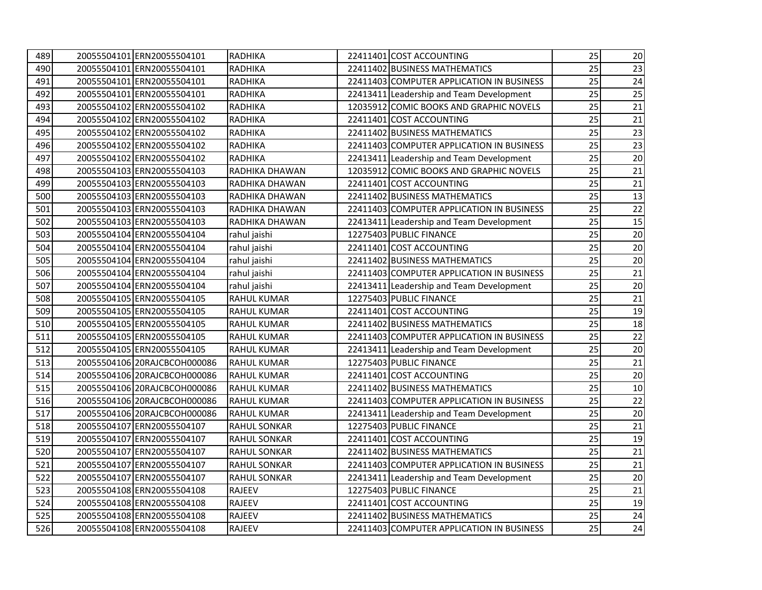| 489 | 20055504101 ERN20055504101   | <b>RADHIKA</b>      | 22411401 COST ACCOUNTING                  | 25 | $20\,$ |
|-----|------------------------------|---------------------|-------------------------------------------|----|--------|
| 490 | 20055504101 ERN20055504101   | <b>RADHIKA</b>      | 22411402 BUSINESS MATHEMATICS             | 25 | 23     |
| 491 | 20055504101 ERN20055504101   | <b>RADHIKA</b>      | 22411403 COMPUTER APPLICATION IN BUSINESS | 25 | 24     |
| 492 | 20055504101 ERN20055504101   | <b>RADHIKA</b>      | 22413411 Leadership and Team Development  | 25 | 25     |
| 493 | 20055504102 ERN20055504102   | <b>RADHIKA</b>      | 12035912 COMIC BOOKS AND GRAPHIC NOVELS   | 25 | 21     |
| 494 | 20055504102 ERN20055504102   | RADHIKA             | 22411401 COST ACCOUNTING                  | 25 | 21     |
| 495 | 20055504102 ERN20055504102   | <b>RADHIKA</b>      | 22411402 BUSINESS MATHEMATICS             | 25 | 23     |
| 496 | 20055504102 ERN20055504102   | RADHIKA             | 22411403 COMPUTER APPLICATION IN BUSINESS | 25 | 23     |
| 497 | 20055504102 ERN20055504102   | <b>RADHIKA</b>      | 22413411 Leadership and Team Development  | 25 | 20     |
| 498 | 20055504103 ERN20055504103   | RADHIKA DHAWAN      | 12035912 COMIC BOOKS AND GRAPHIC NOVELS   | 25 | 21     |
| 499 | 20055504103 ERN20055504103   | RADHIKA DHAWAN      | 22411401 COST ACCOUNTING                  | 25 | 21     |
| 500 | 20055504103 ERN20055504103   | RADHIKA DHAWAN      | 22411402 BUSINESS MATHEMATICS             | 25 | 13     |
| 501 | 20055504103 ERN20055504103   | RADHIKA DHAWAN      | 22411403 COMPUTER APPLICATION IN BUSINESS | 25 | 22     |
| 502 | 20055504103 ERN20055504103   | RADHIKA DHAWAN      | 22413411 Leadership and Team Development  | 25 | 15     |
| 503 | 20055504104 ERN20055504104   | rahul jaishi        | 12275403 PUBLIC FINANCE                   | 25 | $20\,$ |
| 504 | 20055504104 ERN20055504104   | rahul jaishi        | 22411401 COST ACCOUNTING                  | 25 | 20     |
| 505 | 20055504104 ERN20055504104   | rahul jaishi        | 22411402 BUSINESS MATHEMATICS             | 25 | 20     |
| 506 | 20055504104 ERN20055504104   | rahul jaishi        | 22411403 COMPUTER APPLICATION IN BUSINESS | 25 | 21     |
| 507 | 20055504104 ERN20055504104   | rahul jaishi        | 22413411 Leadership and Team Development  | 25 | 20     |
| 508 | 20055504105 ERN20055504105   | <b>RAHUL KUMAR</b>  | 12275403 PUBLIC FINANCE                   | 25 | 21     |
| 509 | 20055504105 ERN20055504105   | RAHUL KUMAR         | 22411401 COST ACCOUNTING                  | 25 | 19     |
| 510 | 20055504105 ERN20055504105   | RAHUL KUMAR         | 22411402 BUSINESS MATHEMATICS             | 25 | 18     |
| 511 | 20055504105 ERN20055504105   | RAHUL KUMAR         | 22411403 COMPUTER APPLICATION IN BUSINESS | 25 | 22     |
| 512 | 20055504105 ERN20055504105   | <b>RAHUL KUMAR</b>  | 22413411 Leadership and Team Development  | 25 | 20     |
| 513 | 20055504106 20RAJCBCOH000086 | <b>RAHUL KUMAR</b>  | 12275403 PUBLIC FINANCE                   | 25 | 21     |
| 514 | 20055504106 20RAJCBCOH000086 | <b>RAHUL KUMAR</b>  | 22411401 COST ACCOUNTING                  | 25 | 20     |
| 515 | 20055504106 20RAJCBCOH000086 | RAHUL KUMAR         | 22411402 BUSINESS MATHEMATICS             | 25 | 10     |
| 516 | 20055504106 20RAJCBCOH000086 | RAHUL KUMAR         | 22411403 COMPUTER APPLICATION IN BUSINESS | 25 | 22     |
| 517 | 20055504106 20RAJCBCOH000086 | <b>RAHUL KUMAR</b>  | 22413411 Leadership and Team Development  | 25 | 20     |
| 518 | 20055504107 ERN20055504107   | <b>RAHUL SONKAR</b> | 12275403 PUBLIC FINANCE                   | 25 | 21     |
| 519 | 20055504107 ERN20055504107   | <b>RAHUL SONKAR</b> | 22411401 COST ACCOUNTING                  | 25 | 19     |
| 520 | 20055504107 ERN20055504107   | <b>RAHUL SONKAR</b> | 22411402 BUSINESS MATHEMATICS             | 25 | 21     |
| 521 | 20055504107 ERN20055504107   | <b>RAHUL SONKAR</b> | 22411403 COMPUTER APPLICATION IN BUSINESS | 25 | 21     |
| 522 | 20055504107 ERN20055504107   | <b>RAHUL SONKAR</b> | 22413411 Leadership and Team Development  | 25 | 20     |
| 523 | 20055504108 ERN20055504108   | <b>RAJEEV</b>       | 12275403 PUBLIC FINANCE                   | 25 | 21     |
| 524 | 20055504108 ERN20055504108   | RAJEEV              | 22411401 COST ACCOUNTING                  | 25 | 19     |
| 525 | 20055504108 ERN20055504108   | RAJEEV              | 22411402 BUSINESS MATHEMATICS             | 25 | 24     |
| 526 | 20055504108 ERN20055504108   | <b>RAJEEV</b>       | 22411403 COMPUTER APPLICATION IN BUSINESS | 25 | 24     |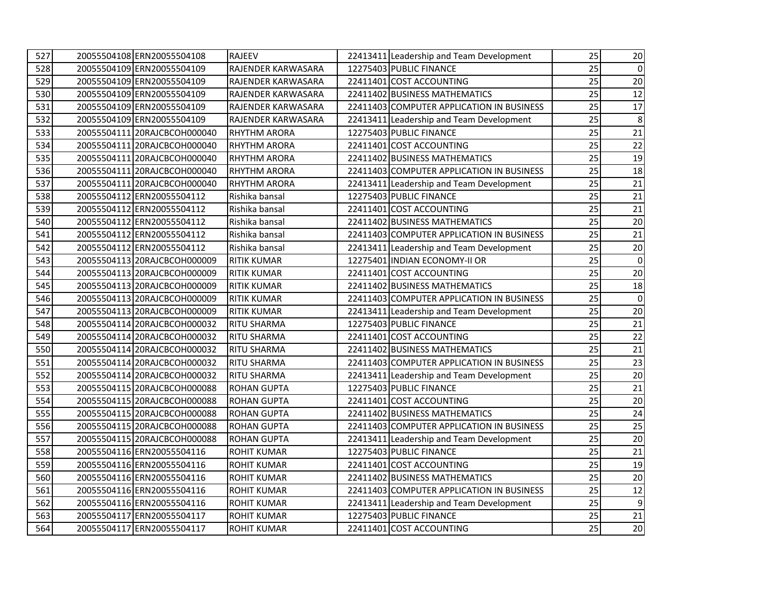| 527 | 20055504108 ERN20055504108   | <b>RAJEEV</b>             | 22413411 Leadership and Team Development  | 25 | $20\,$         |
|-----|------------------------------|---------------------------|-------------------------------------------|----|----------------|
| 528 | 20055504109 ERN20055504109   | RAJENDER KARWASARA        | 12275403 PUBLIC FINANCE                   | 25 | $\overline{0}$ |
| 529 | 20055504109 ERN20055504109   | RAJENDER KARWASARA        | 22411401 COST ACCOUNTING                  | 25 | 20             |
| 530 | 20055504109 ERN20055504109   | RAJENDER KARWASARA        | 22411402 BUSINESS MATHEMATICS             | 25 | 12             |
| 531 | 20055504109 ERN20055504109   | <b>RAJENDER KARWASARA</b> | 22411403 COMPUTER APPLICATION IN BUSINESS | 25 | 17             |
| 532 | 20055504109 ERN20055504109   | <b>RAJENDER KARWASARA</b> | 22413411 Leadership and Team Development  | 25 | $\,8\,$        |
| 533 | 20055504111 20RAJCBCOH000040 | <b>RHYTHM ARORA</b>       | 12275403 PUBLIC FINANCE                   | 25 | 21             |
| 534 | 20055504111 20RAJCBCOH000040 | <b>RHYTHM ARORA</b>       | 22411401 COST ACCOUNTING                  | 25 | 22             |
| 535 | 20055504111 20RAJCBCOH000040 | <b>RHYTHM ARORA</b>       | 22411402 BUSINESS MATHEMATICS             | 25 | 19             |
| 536 | 20055504111 20RAJCBCOH000040 | <b>RHYTHM ARORA</b>       | 22411403 COMPUTER APPLICATION IN BUSINESS | 25 | 18             |
| 537 | 20055504111 20RAJCBCOH000040 | <b>RHYTHM ARORA</b>       | 22413411 Leadership and Team Development  | 25 | 21             |
| 538 | 20055504112 ERN20055504112   | Rishika bansal            | 12275403 PUBLIC FINANCE                   | 25 | 21             |
| 539 | 20055504112 ERN20055504112   | Rishika bansal            | 22411401 COST ACCOUNTING                  | 25 | 21             |
| 540 | 20055504112 ERN20055504112   | Rishika bansal            | 22411402 BUSINESS MATHEMATICS             | 25 | $20\,$         |
| 541 | 20055504112 ERN20055504112   | Rishika bansal            | 22411403 COMPUTER APPLICATION IN BUSINESS | 25 | $21\,$         |
| 542 | 20055504112 ERN20055504112   | Rishika bansal            | 22413411 Leadership and Team Development  | 25 | $20\,$         |
| 543 | 20055504113 20RAJCBCOH000009 | <b>RITIK KUMAR</b>        | 12275401 INDIAN ECONOMY-II OR             | 25 | 0              |
| 544 | 20055504113 20RAJCBCOH000009 | <b>RITIK KUMAR</b>        | 22411401 COST ACCOUNTING                  | 25 | 20             |
| 545 | 20055504113 20RAJCBCOH000009 | <b>RITIK KUMAR</b>        | 22411402 BUSINESS MATHEMATICS             | 25 | 18             |
| 546 | 20055504113 20RAJCBCOH000009 | <b>RITIK KUMAR</b>        | 22411403 COMPUTER APPLICATION IN BUSINESS | 25 | $\mathbf 0$    |
| 547 | 20055504113 20RAJCBCOH000009 | <b>RITIK KUMAR</b>        | 22413411 Leadership and Team Development  | 25 | 20             |
| 548 | 20055504114 20RAJCBCOH000032 | <b>RITU SHARMA</b>        | 12275403 PUBLIC FINANCE                   | 25 | 21             |
| 549 | 20055504114 20RAJCBCOH000032 | <b>RITU SHARMA</b>        | 22411401 COST ACCOUNTING                  | 25 | 22             |
| 550 | 20055504114 20RAJCBCOH000032 | <b>RITU SHARMA</b>        | 22411402 BUSINESS MATHEMATICS             | 25 | 21             |
| 551 | 20055504114 20RAJCBCOH000032 | <b>RITU SHARMA</b>        | 22411403 COMPUTER APPLICATION IN BUSINESS | 25 | 23             |
| 552 | 20055504114 20RAJCBCOH000032 | <b>RITU SHARMA</b>        | 22413411 Leadership and Team Development  | 25 | 20             |
| 553 | 20055504115 20RAJCBCOH000088 | <b>ROHAN GUPTA</b>        | 12275403 PUBLIC FINANCE                   | 25 | 21             |
| 554 | 20055504115 20RAJCBCOH000088 | <b>ROHAN GUPTA</b>        | 22411401 COST ACCOUNTING                  | 25 | 20             |
| 555 | 20055504115 20RAJCBCOH000088 | <b>ROHAN GUPTA</b>        | 22411402 BUSINESS MATHEMATICS             | 25 | 24             |
| 556 | 20055504115 20RAJCBCOH000088 | <b>ROHAN GUPTA</b>        | 22411403 COMPUTER APPLICATION IN BUSINESS | 25 | 25             |
| 557 | 20055504115 20RAJCBCOH000088 | <b>ROHAN GUPTA</b>        | 22413411 Leadership and Team Development  | 25 | 20             |
| 558 | 20055504116 ERN20055504116   | <b>ROHIT KUMAR</b>        | 12275403 PUBLIC FINANCE                   | 25 | 21             |
| 559 | 20055504116 ERN20055504116   | <b>ROHIT KUMAR</b>        | 22411401 COST ACCOUNTING                  | 25 | 19             |
| 560 | 20055504116 ERN20055504116   | <b>ROHIT KUMAR</b>        | 22411402 BUSINESS MATHEMATICS             | 25 | 20             |
| 561 | 20055504116 ERN20055504116   | <b>ROHIT KUMAR</b>        | 22411403 COMPUTER APPLICATION IN BUSINESS | 25 | 12             |
| 562 | 20055504116 ERN20055504116   | <b>ROHIT KUMAR</b>        | 22413411 Leadership and Team Development  | 25 | 9              |
| 563 | 20055504117 ERN20055504117   | <b>ROHIT KUMAR</b>        | 12275403 PUBLIC FINANCE                   | 25 | 21             |
| 564 | 20055504117 ERN20055504117   | <b>ROHIT KUMAR</b>        | 22411401 COST ACCOUNTING                  | 25 | 20             |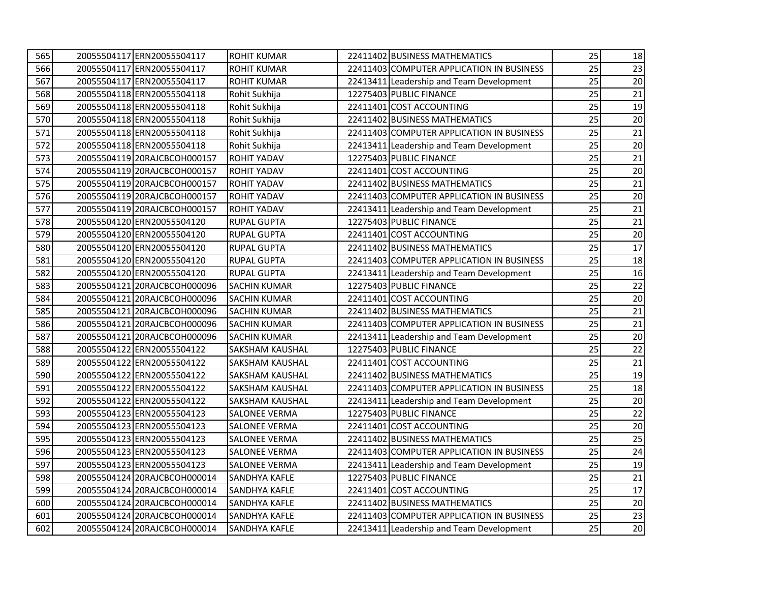| 565 | 20055504117 ERN20055504117   | <b>ROHIT KUMAR</b>     | 22411402 BUSINESS MATHEMATICS             | 25 | 18 |
|-----|------------------------------|------------------------|-------------------------------------------|----|----|
| 566 | 20055504117 ERN20055504117   | <b>ROHIT KUMAR</b>     | 22411403 COMPUTER APPLICATION IN BUSINESS | 25 | 23 |
| 567 | 20055504117 ERN20055504117   | <b>ROHIT KUMAR</b>     | 22413411 Leadership and Team Development  | 25 | 20 |
| 568 | 20055504118 ERN20055504118   | Rohit Sukhija          | 12275403 PUBLIC FINANCE                   | 25 | 21 |
| 569 | 20055504118 ERN20055504118   | Rohit Sukhija          | 22411401 COST ACCOUNTING                  | 25 | 19 |
| 570 | 20055504118 ERN20055504118   | Rohit Sukhija          | 22411402 BUSINESS MATHEMATICS             | 25 | 20 |
| 571 | 20055504118 ERN20055504118   | Rohit Sukhija          | 22411403 COMPUTER APPLICATION IN BUSINESS | 25 | 21 |
| 572 | 20055504118 ERN20055504118   | Rohit Sukhija          | 22413411 Leadership and Team Development  | 25 | 20 |
| 573 | 20055504119 20RAJCBCOH000157 | <b>ROHIT YADAV</b>     | 12275403 PUBLIC FINANCE                   | 25 | 21 |
| 574 | 20055504119 20RAJCBCOH000157 | <b>ROHIT YADAV</b>     | 22411401 COST ACCOUNTING                  | 25 | 20 |
| 575 | 20055504119 20RAJCBCOH000157 | <b>ROHIT YADAV</b>     | 22411402 BUSINESS MATHEMATICS             | 25 | 21 |
| 576 | 20055504119 20RAJCBCOH000157 | <b>ROHIT YADAV</b>     | 22411403 COMPUTER APPLICATION IN BUSINESS | 25 | 20 |
| 577 | 20055504119 20RAJCBCOH000157 | <b>ROHIT YADAV</b>     | 22413411 Leadership and Team Development  | 25 | 21 |
| 578 | 20055504120 ERN20055504120   | <b>RUPAL GUPTA</b>     | 12275403 PUBLIC FINANCE                   | 25 | 21 |
| 579 | 20055504120 ERN20055504120   | <b>RUPAL GUPTA</b>     | 22411401 COST ACCOUNTING                  | 25 | 20 |
| 580 | 20055504120 ERN20055504120   | <b>RUPAL GUPTA</b>     | 22411402 BUSINESS MATHEMATICS             | 25 | 17 |
| 581 | 20055504120 ERN20055504120   | <b>RUPAL GUPTA</b>     | 22411403 COMPUTER APPLICATION IN BUSINESS | 25 | 18 |
| 582 | 20055504120 ERN20055504120   | <b>RUPAL GUPTA</b>     | 22413411 Leadership and Team Development  | 25 | 16 |
| 583 | 20055504121 20RAJCBCOH000096 | <b>SACHIN KUMAR</b>    | 12275403 PUBLIC FINANCE                   | 25 | 22 |
| 584 | 20055504121 20RAJCBCOH000096 | <b>SACHIN KUMAR</b>    | 22411401 COST ACCOUNTING                  | 25 | 20 |
| 585 | 20055504121 20RAJCBCOH000096 | <b>SACHIN KUMAR</b>    | 22411402 BUSINESS MATHEMATICS             | 25 | 21 |
| 586 | 20055504121 20RAJCBCOH000096 | <b>SACHIN KUMAR</b>    | 22411403 COMPUTER APPLICATION IN BUSINESS | 25 | 21 |
| 587 | 20055504121 20RAJCBCOH000096 | <b>SACHIN KUMAR</b>    | 22413411 Leadership and Team Development  | 25 | 20 |
| 588 | 20055504122 ERN20055504122   | <b>SAKSHAM KAUSHAL</b> | 12275403 PUBLIC FINANCE                   | 25 | 22 |
| 589 | 20055504122 ERN20055504122   | <b>SAKSHAM KAUSHAL</b> | 22411401 COST ACCOUNTING                  | 25 | 21 |
| 590 | 20055504122 ERN20055504122   | <b>SAKSHAM KAUSHAL</b> | 22411402 BUSINESS MATHEMATICS             | 25 | 19 |
| 591 | 20055504122 ERN20055504122   | <b>SAKSHAM KAUSHAL</b> | 22411403 COMPUTER APPLICATION IN BUSINESS | 25 | 18 |
| 592 | 20055504122 ERN20055504122   | <b>SAKSHAM KAUSHAL</b> | 22413411 Leadership and Team Development  | 25 | 20 |
| 593 | 20055504123 ERN20055504123   | <b>SALONEE VERMA</b>   | 12275403 PUBLIC FINANCE                   | 25 | 22 |
| 594 | 20055504123 ERN20055504123   | <b>SALONEE VERMA</b>   | 22411401 COST ACCOUNTING                  | 25 | 20 |
| 595 | 20055504123 ERN20055504123   | <b>SALONEE VERMA</b>   | 22411402 BUSINESS MATHEMATICS             | 25 | 25 |
| 596 | 20055504123 ERN20055504123   | <b>SALONEE VERMA</b>   | 22411403 COMPUTER APPLICATION IN BUSINESS | 25 | 24 |
| 597 | 20055504123 ERN20055504123   | <b>SALONEE VERMA</b>   | 22413411 Leadership and Team Development  | 25 | 19 |
| 598 | 20055504124 20RAJCBCOH000014 | <b>SANDHYA KAFLE</b>   | 12275403 PUBLIC FINANCE                   | 25 | 21 |
| 599 | 20055504124 20RAJCBCOH000014 | <b>SANDHYA KAFLE</b>   | 22411401 COST ACCOUNTING                  | 25 | 17 |
| 600 | 20055504124 20RAJCBCOH000014 | <b>SANDHYA KAFLE</b>   | 22411402 BUSINESS MATHEMATICS             | 25 | 20 |
| 601 | 20055504124 20RAJCBCOH000014 | <b>SANDHYA KAFLE</b>   | 22411403 COMPUTER APPLICATION IN BUSINESS | 25 | 23 |
| 602 | 20055504124 20RAJCBCOH000014 | <b>SANDHYA KAFLE</b>   | 22413411 Leadership and Team Development  | 25 | 20 |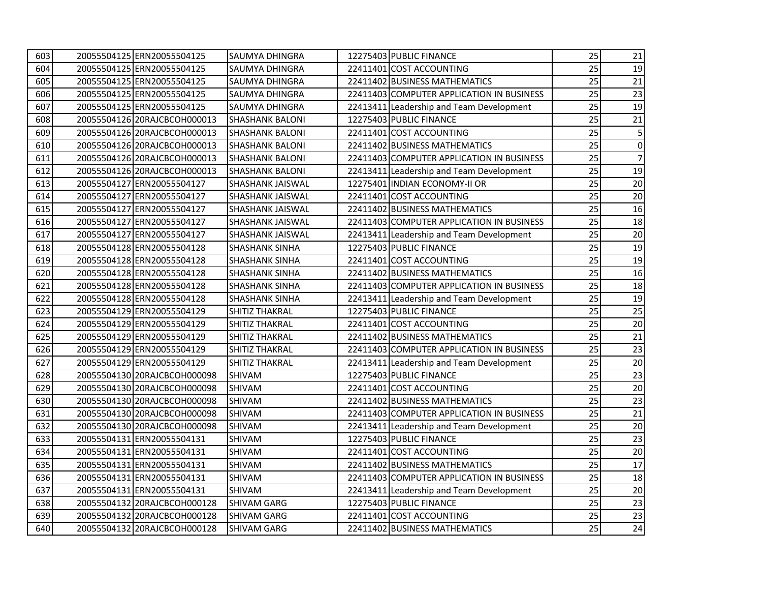| 603 | 20055504125 ERN20055504125   | <b>SAUMYA DHINGRA</b>   | 12275403 PUBLIC FINANCE                   | 25 | 21             |
|-----|------------------------------|-------------------------|-------------------------------------------|----|----------------|
| 604 | 20055504125 ERN20055504125   | <b>SAUMYA DHINGRA</b>   | 22411401 COST ACCOUNTING                  | 25 | 19             |
| 605 | 20055504125 ERN20055504125   | <b>SAUMYA DHINGRA</b>   | 22411402 BUSINESS MATHEMATICS             | 25 | 21             |
| 606 | 20055504125 ERN20055504125   | SAUMYA DHINGRA          | 22411403 COMPUTER APPLICATION IN BUSINESS | 25 | 23             |
| 607 | 20055504125 ERN20055504125   | SAUMYA DHINGRA          | 22413411 Leadership and Team Development  | 25 | 19             |
| 608 | 20055504126 20RAJCBCOH000013 | <b>SHASHANK BALONI</b>  | 12275403 PUBLIC FINANCE                   | 25 | 21             |
| 609 | 20055504126 20RAJCBCOH000013 | <b>SHASHANK BALONI</b>  | 22411401 COST ACCOUNTING                  | 25 | 5              |
| 610 | 20055504126 20RAJCBCOH000013 | <b>SHASHANK BALONI</b>  | 22411402 BUSINESS MATHEMATICS             | 25 | 0              |
| 611 | 20055504126 20RAJCBCOH000013 | <b>SHASHANK BALONI</b>  | 22411403 COMPUTER APPLICATION IN BUSINESS | 25 | 7 <sup>1</sup> |
| 612 | 20055504126 20RAJCBCOH000013 | <b>SHASHANK BALONI</b>  | 22413411 Leadership and Team Development  | 25 | 19             |
| 613 | 20055504127 ERN20055504127   | <b>SHASHANK JAISWAL</b> | 12275401 INDIAN ECONOMY-II OR             | 25 | 20             |
| 614 | 20055504127 ERN20055504127   | <b>SHASHANK JAISWAL</b> | 22411401 COST ACCOUNTING                  | 25 | 20             |
| 615 | 20055504127 ERN20055504127   | SHASHANK JAISWAL        | 22411402 BUSINESS MATHEMATICS             | 25 | 16             |
| 616 | 20055504127 ERN20055504127   | <b>SHASHANK JAISWAL</b> | 22411403 COMPUTER APPLICATION IN BUSINESS | 25 | 18             |
| 617 | 20055504127 ERN20055504127   | <b>SHASHANK JAISWAL</b> | 22413411 Leadership and Team Development  | 25 | $20\,$         |
| 618 | 20055504128 ERN20055504128   | <b>SHASHANK SINHA</b>   | 12275403 PUBLIC FINANCE                   | 25 | 19             |
| 619 | 20055504128 ERN20055504128   | <b>SHASHANK SINHA</b>   | 22411401 COST ACCOUNTING                  | 25 | 19             |
| 620 | 20055504128 ERN20055504128   | <b>SHASHANK SINHA</b>   | 22411402 BUSINESS MATHEMATICS             | 25 | 16             |
| 621 | 20055504128 ERN20055504128   | <b>SHASHANK SINHA</b>   | 22411403 COMPUTER APPLICATION IN BUSINESS | 25 | 18             |
| 622 | 20055504128 ERN20055504128   | <b>SHASHANK SINHA</b>   | 22413411 Leadership and Team Development  | 25 | 19             |
| 623 | 20055504129 ERN20055504129   | <b>SHITIZ THAKRAL</b>   | 12275403 PUBLIC FINANCE                   | 25 | 25             |
| 624 | 20055504129 ERN20055504129   | <b>SHITIZ THAKRAL</b>   | 22411401 COST ACCOUNTING                  | 25 | 20             |
| 625 | 20055504129 ERN20055504129   | <b>SHITIZ THAKRAL</b>   | 22411402 BUSINESS MATHEMATICS             | 25 | 21             |
| 626 | 20055504129 ERN20055504129   | <b>SHITIZ THAKRAL</b>   | 22411403 COMPUTER APPLICATION IN BUSINESS | 25 | 23             |
| 627 | 20055504129 ERN20055504129   | <b>SHITIZ THAKRAL</b>   | 22413411 Leadership and Team Development  | 25 | 20             |
| 628 | 20055504130 20RAJCBCOH000098 | SHIVAM                  | 12275403 PUBLIC FINANCE                   | 25 | 23             |
| 629 | 20055504130 20RAJCBCOH000098 | <b>SHIVAM</b>           | 22411401 COST ACCOUNTING                  | 25 | 20             |
| 630 | 20055504130 20RAJCBCOH000098 | <b>SHIVAM</b>           | 22411402 BUSINESS MATHEMATICS             | 25 | 23             |
| 631 | 20055504130 20RAJCBCOH000098 | <b>SHIVAM</b>           | 22411403 COMPUTER APPLICATION IN BUSINESS | 25 | 21             |
| 632 | 20055504130 20RAJCBCOH000098 | SHIVAM                  | 22413411 Leadership and Team Development  | 25 | 20             |
| 633 | 20055504131 ERN20055504131   | <b>SHIVAM</b>           | 12275403 PUBLIC FINANCE                   | 25 | 23             |
| 634 | 20055504131 ERN20055504131   | <b>SHIVAM</b>           | 22411401 COST ACCOUNTING                  | 25 | 20             |
| 635 | 20055504131 ERN20055504131   | <b>SHIVAM</b>           | 22411402 BUSINESS MATHEMATICS             | 25 | 17             |
| 636 | 20055504131 ERN20055504131   | SHIVAM                  | 22411403 COMPUTER APPLICATION IN BUSINESS | 25 | 18             |
| 637 | 20055504131 ERN20055504131   | SHIVAM                  | 22413411 Leadership and Team Development  | 25 | 20             |
| 638 | 20055504132 20RAJCBCOH000128 | SHIVAM GARG             | 12275403 PUBLIC FINANCE                   | 25 | 23             |
| 639 | 20055504132 20RAJCBCOH000128 | <b>SHIVAM GARG</b>      | 22411401 COST ACCOUNTING                  | 25 | 23             |
| 640 | 20055504132 20RAJCBCOH000128 | <b>SHIVAM GARG</b>      | 22411402 BUSINESS MATHEMATICS             | 25 | 24             |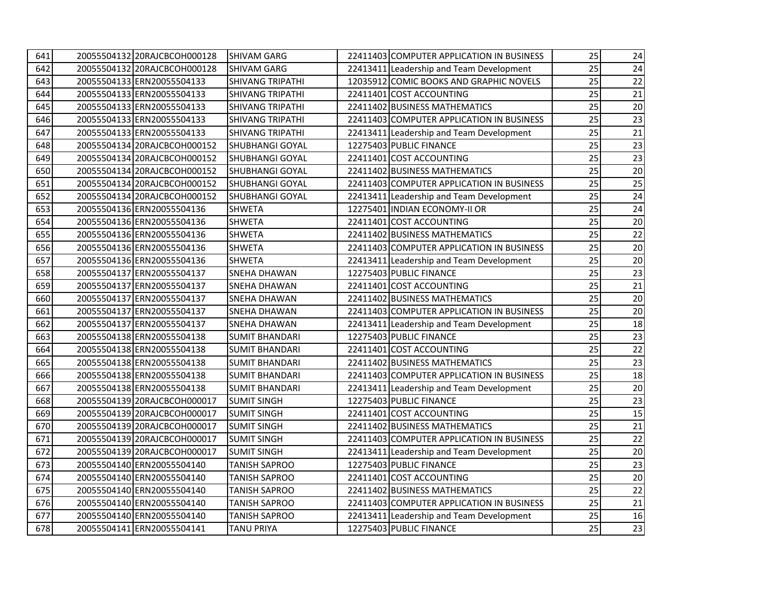| 641 | 20055504132 20RAJCBCOH000128 | <b>SHIVAM GARG</b>      | 22411403 COMPUTER APPLICATION IN BUSINESS | 25 | 24              |
|-----|------------------------------|-------------------------|-------------------------------------------|----|-----------------|
| 642 | 20055504132 20RAJCBCOH000128 | SHIVAM GARG             | 22413411 Leadership and Team Development  | 25 | 24              |
| 643 | 20055504133 ERN20055504133   | <b>SHIVANG TRIPATHI</b> | 12035912 COMIC BOOKS AND GRAPHIC NOVELS   | 25 | 22              |
| 644 | 20055504133 ERN20055504133   | <b>SHIVANG TRIPATHI</b> | 22411401 COST ACCOUNTING                  | 25 | 21              |
| 645 | 20055504133 ERN20055504133   | <b>SHIVANG TRIPATHI</b> | 22411402 BUSINESS MATHEMATICS             | 25 | 20              |
| 646 | 20055504133 ERN20055504133   | <b>SHIVANG TRIPATHI</b> | 22411403 COMPUTER APPLICATION IN BUSINESS | 25 | 23              |
| 647 | 20055504133 ERN20055504133   | <b>SHIVANG TRIPATHI</b> | 22413411 Leadership and Team Development  | 25 | $21\,$          |
| 648 | 20055504134 20RAJCBCOH000152 | <b>SHUBHANGI GOYAL</b>  | 12275403 PUBLIC FINANCE                   | 25 | 23              |
| 649 | 20055504134 20RAJCBCOH000152 | <b>SHUBHANGI GOYAL</b>  | 22411401 COST ACCOUNTING                  | 25 | 23              |
| 650 | 20055504134 20RAJCBCOH000152 | SHUBHANGI GOYAL         | 22411402 BUSINESS MATHEMATICS             | 25 | 20              |
| 651 | 20055504134 20RAJCBCOH000152 | SHUBHANGI GOYAL         | 22411403 COMPUTER APPLICATION IN BUSINESS | 25 | 25              |
| 652 | 20055504134 20RAJCBCOH000152 | SHUBHANGI GOYAL         | 22413411 Leadership and Team Development  | 25 | 24              |
| 653 | 20055504136 ERN20055504136   | <b>SHWETA</b>           | 12275401 INDIAN ECONOMY-II OR             | 25 | 24              |
| 654 | 20055504136 ERN20055504136   | <b>SHWETA</b>           | 22411401 COST ACCOUNTING                  | 25 | 20              |
| 655 | 20055504136 ERN20055504136   | <b>SHWETA</b>           | 22411402 BUSINESS MATHEMATICS             | 25 | 22              |
| 656 | 20055504136 ERN20055504136   | <b>SHWETA</b>           | 22411403 COMPUTER APPLICATION IN BUSINESS | 25 | 20              |
| 657 | 20055504136 ERN20055504136   | <b>SHWETA</b>           | 22413411 Leadership and Team Development  | 25 | 20              |
| 658 | 20055504137 ERN20055504137   | <b>SNEHA DHAWAN</b>     | 12275403 PUBLIC FINANCE                   | 25 | 23              |
| 659 | 20055504137 ERN20055504137   | <b>SNEHA DHAWAN</b>     | 22411401 COST ACCOUNTING                  | 25 | 21              |
| 660 | 20055504137 ERN20055504137   | <b>SNEHA DHAWAN</b>     | 22411402 BUSINESS MATHEMATICS             | 25 | 20              |
| 661 | 20055504137 ERN20055504137   | <b>SNEHA DHAWAN</b>     | 22411403 COMPUTER APPLICATION IN BUSINESS | 25 | 20              |
| 662 | 20055504137 ERN20055504137   | SNEHA DHAWAN            | 22413411 Leadership and Team Development  | 25 | 18              |
| 663 | 20055504138 ERN20055504138   | <b>SUMIT BHANDARI</b>   | 12275403 PUBLIC FINANCE                   | 25 | 23              |
| 664 | 20055504138 ERN20055504138   | <b>SUMIT BHANDARI</b>   | 22411401 COST ACCOUNTING                  | 25 | 22              |
| 665 | 20055504138 ERN20055504138   | <b>SUMIT BHANDARI</b>   | 22411402 BUSINESS MATHEMATICS             | 25 | $\overline{23}$ |
| 666 | 20055504138 ERN20055504138   | <b>SUMIT BHANDARI</b>   | 22411403 COMPUTER APPLICATION IN BUSINESS | 25 | 18              |
| 667 | 20055504138 ERN20055504138   | <b>SUMIT BHANDARI</b>   | 22413411 Leadership and Team Development  | 25 | 20              |
| 668 | 20055504139 20RAJCBCOH000017 | <b>SUMIT SINGH</b>      | 12275403 PUBLIC FINANCE                   | 25 | 23              |
| 669 | 20055504139 20RAJCBCOH000017 | <b>SUMIT SINGH</b>      | 22411401 COST ACCOUNTING                  | 25 | 15              |
| 670 | 20055504139 20RAJCBCOH000017 | <b>SUMIT SINGH</b>      | 22411402 BUSINESS MATHEMATICS             | 25 | 21              |
| 671 | 20055504139 20RAJCBCOH000017 | <b>SUMIT SINGH</b>      | 22411403 COMPUTER APPLICATION IN BUSINESS | 25 | 22              |
| 672 | 20055504139 20RAJCBCOH000017 | <b>SUMIT SINGH</b>      | 22413411 Leadership and Team Development  | 25 | 20              |
| 673 | 20055504140 ERN20055504140   | <b>TANISH SAPROO</b>    | 12275403 PUBLIC FINANCE                   | 25 | 23              |
| 674 | 20055504140 ERN20055504140   | <b>TANISH SAPROO</b>    | 22411401 COST ACCOUNTING                  | 25 | 20              |
| 675 | 20055504140 ERN20055504140   | <b>TANISH SAPROO</b>    | 22411402 BUSINESS MATHEMATICS             | 25 | 22              |
| 676 | 20055504140 ERN20055504140   | <b>TANISH SAPROO</b>    | 22411403 COMPUTER APPLICATION IN BUSINESS | 25 | 21              |
| 677 | 20055504140 ERN20055504140   | <b>TANISH SAPROO</b>    | 22413411 Leadership and Team Development  | 25 | 16              |
| 678 | 20055504141 ERN20055504141   | <b>TANU PRIYA</b>       | 12275403 PUBLIC FINANCE                   | 25 | 23              |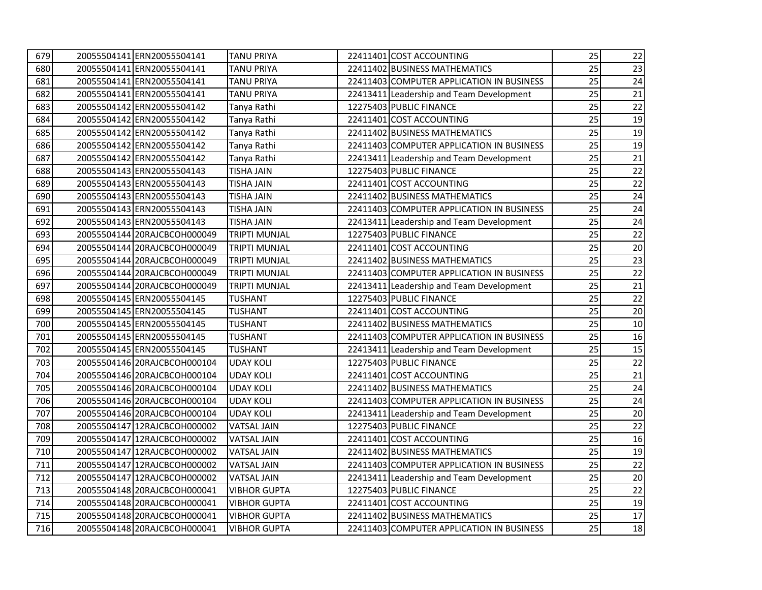| 679 | 20055504141 ERN20055504141   | <b>TANU PRIYA</b>    | 22411401 COST ACCOUNTING                  | 25 | 22     |
|-----|------------------------------|----------------------|-------------------------------------------|----|--------|
| 680 | 20055504141 ERN20055504141   | <b>TANU PRIYA</b>    | 22411402 BUSINESS MATHEMATICS             | 25 | 23     |
| 681 | 20055504141 ERN20055504141   | <b>TANU PRIYA</b>    | 22411403 COMPUTER APPLICATION IN BUSINESS | 25 | 24     |
| 682 | 20055504141 ERN20055504141   | <b>TANU PRIYA</b>    | 22413411 Leadership and Team Development  | 25 | 21     |
| 683 | 20055504142 ERN20055504142   | Tanya Rathi          | 12275403 PUBLIC FINANCE                   | 25 | 22     |
| 684 | 20055504142 ERN20055504142   | Tanya Rathi          | 22411401 COST ACCOUNTING                  | 25 | 19     |
| 685 | 20055504142 ERN20055504142   | Tanya Rathi          | 22411402 BUSINESS MATHEMATICS             | 25 | 19     |
| 686 | 20055504142 ERN20055504142   | Tanya Rathi          | 22411403 COMPUTER APPLICATION IN BUSINESS | 25 | 19     |
| 687 | 20055504142 ERN20055504142   | Tanya Rathi          | 22413411 Leadership and Team Development  | 25 | 21     |
| 688 | 20055504143 ERN20055504143   | <b>TISHA JAIN</b>    | 12275403 PUBLIC FINANCE                   | 25 | 22     |
| 689 | 20055504143 ERN20055504143   | <b>TISHA JAIN</b>    | 22411401 COST ACCOUNTING                  | 25 | 22     |
| 690 | 20055504143 ERN20055504143   | <b>TISHA JAIN</b>    | 22411402 BUSINESS MATHEMATICS             | 25 | 24     |
| 691 | 20055504143 ERN20055504143   | <b>TISHA JAIN</b>    | 22411403 COMPUTER APPLICATION IN BUSINESS | 25 | 24     |
| 692 | 20055504143 ERN20055504143   | <b>TISHA JAIN</b>    | 22413411 Leadership and Team Development  | 25 | 24     |
| 693 | 20055504144 20RAJCBCOH000049 | <b>TRIPTI MUNJAL</b> | 12275403 PUBLIC FINANCE                   | 25 | 22     |
| 694 | 20055504144 20RAJCBCOH000049 | <b>TRIPTI MUNJAL</b> | 22411401 COST ACCOUNTING                  | 25 | 20     |
| 695 | 20055504144 20RAJCBCOH000049 | <b>TRIPTI MUNJAL</b> | 22411402 BUSINESS MATHEMATICS             | 25 | 23     |
| 696 | 20055504144 20RAJCBCOH000049 | <b>TRIPTI MUNJAL</b> | 22411403 COMPUTER APPLICATION IN BUSINESS | 25 | 22     |
| 697 | 20055504144 20RAJCBCOH000049 | <b>TRIPTI MUNJAL</b> | 22413411 Leadership and Team Development  | 25 | 21     |
| 698 | 20055504145 ERN20055504145   | <b>TUSHANT</b>       | 12275403 PUBLIC FINANCE                   | 25 | 22     |
| 699 | 20055504145 ERN20055504145   | <b>TUSHANT</b>       | 22411401 COST ACCOUNTING                  | 25 | 20     |
| 700 | 20055504145 ERN20055504145   | <b>TUSHANT</b>       | 22411402 BUSINESS MATHEMATICS             | 25 | 10     |
| 701 | 20055504145 ERN20055504145   | <b>TUSHANT</b>       | 22411403 COMPUTER APPLICATION IN BUSINESS | 25 | 16     |
| 702 | 20055504145 ERN20055504145   | <b>TUSHANT</b>       | 22413411 Leadership and Team Development  | 25 | 15     |
| 703 | 20055504146 20RAJCBCOH000104 | <b>UDAY KOLI</b>     | 12275403 PUBLIC FINANCE                   | 25 | 22     |
| 704 | 20055504146 20RAJCBCOH000104 | <b>UDAY KOLI</b>     | 22411401 COST ACCOUNTING                  | 25 | 21     |
| 705 | 20055504146 20RAJCBCOH000104 | <b>UDAY KOLI</b>     | 22411402 BUSINESS MATHEMATICS             | 25 | 24     |
| 706 | 20055504146 20RAJCBCOH000104 | <b>UDAY KOLI</b>     | 22411403 COMPUTER APPLICATION IN BUSINESS | 25 | 24     |
| 707 | 20055504146 20RAJCBCOH000104 | <b>UDAY KOLI</b>     | 22413411 Leadership and Team Development  | 25 | 20     |
| 708 | 20055504147 12RAJCBCOH000002 | <b>VATSAL JAIN</b>   | 12275403 PUBLIC FINANCE                   | 25 | 22     |
| 709 | 20055504147 12RAJCBCOH000002 | <b>VATSAL JAIN</b>   | 22411401 COST ACCOUNTING                  | 25 | 16     |
| 710 | 20055504147 12RAJCBCOH000002 | <b>VATSAL JAIN</b>   | 22411402 BUSINESS MATHEMATICS             | 25 | 19     |
| 711 | 20055504147 12RAJCBCOH000002 | <b>VATSAL JAIN</b>   | 22411403 COMPUTER APPLICATION IN BUSINESS | 25 | 22     |
| 712 | 20055504147 12RAJCBCOH000002 | <b>VATSAL JAIN</b>   | 22413411 Leadership and Team Development  | 25 | 20     |
| 713 | 20055504148 20RAJCBCOH000041 | <b>VIBHOR GUPTA</b>  | 12275403 PUBLIC FINANCE                   | 25 | 22     |
| 714 | 20055504148 20RAJCBCOH000041 | <b>VIBHOR GUPTA</b>  | 22411401 COST ACCOUNTING                  | 25 | 19     |
| 715 | 20055504148 20RAJCBCOH000041 | <b>VIBHOR GUPTA</b>  | 22411402 BUSINESS MATHEMATICS             | 25 | $17\,$ |
| 716 | 20055504148 20RAJCBCOH000041 | <b>VIBHOR GUPTA</b>  | 22411403 COMPUTER APPLICATION IN BUSINESS | 25 | 18     |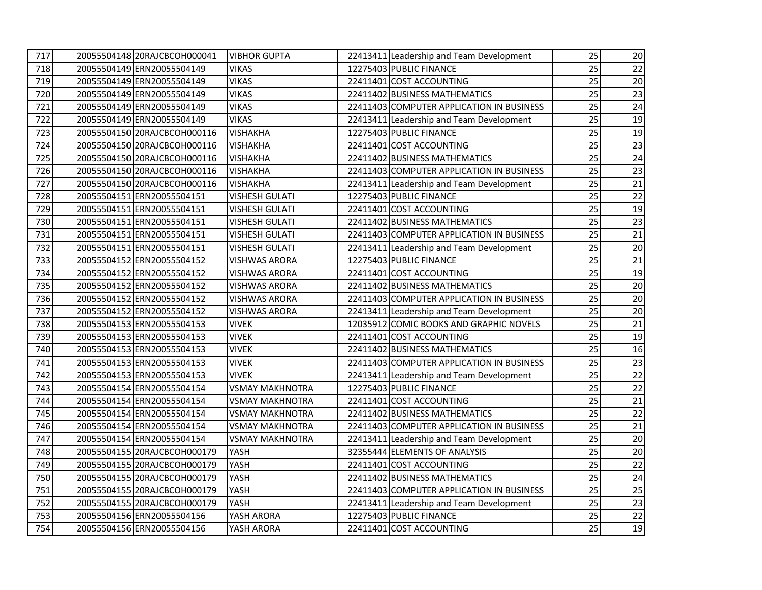| 717 | 20055504148 20RAJCBCOH000041 | <b>VIBHOR GUPTA</b>    | 22413411 Leadership and Team Development  | 25 | 20 |
|-----|------------------------------|------------------------|-------------------------------------------|----|----|
| 718 | 20055504149 ERN20055504149   | <b>VIKAS</b>           | 12275403 PUBLIC FINANCE                   | 25 | 22 |
| 719 | 20055504149 ERN20055504149   | <b>VIKAS</b>           | 22411401 COST ACCOUNTING                  | 25 | 20 |
| 720 | 20055504149 ERN20055504149   | VIKAS                  | 22411402 BUSINESS MATHEMATICS             | 25 | 23 |
| 721 | 20055504149 ERN20055504149   | <b>VIKAS</b>           | 22411403 COMPUTER APPLICATION IN BUSINESS | 25 | 24 |
| 722 | 20055504149 ERN20055504149   | <b>VIKAS</b>           | 22413411 Leadership and Team Development  | 25 | 19 |
| 723 | 20055504150 20RAJCBCOH000116 | <b>VISHAKHA</b>        | 12275403 PUBLIC FINANCE                   | 25 | 19 |
| 724 | 20055504150 20RAJCBCOH000116 | <b>VISHAKHA</b>        | 22411401 COST ACCOUNTING                  | 25 | 23 |
| 725 | 20055504150 20RAJCBCOH000116 | <b>VISHAKHA</b>        | 22411402 BUSINESS MATHEMATICS             | 25 | 24 |
| 726 | 20055504150 20RAJCBCOH000116 | <b>VISHAKHA</b>        | 22411403 COMPUTER APPLICATION IN BUSINESS | 25 | 23 |
| 727 | 20055504150 20RAJCBCOH000116 | <b>VISHAKHA</b>        | 22413411 Leadership and Team Development  | 25 | 21 |
| 728 | 20055504151 ERN20055504151   | <b>VISHESH GULATI</b>  | 12275403 PUBLIC FINANCE                   | 25 | 22 |
| 729 | 20055504151 ERN20055504151   | <b>VISHESH GULATI</b>  | 22411401 COST ACCOUNTING                  | 25 | 19 |
| 730 | 20055504151 ERN20055504151   | <b>VISHESH GULATI</b>  | 22411402 BUSINESS MATHEMATICS             | 25 | 23 |
| 731 | 20055504151 ERN20055504151   | <b>VISHESH GULATI</b>  | 22411403 COMPUTER APPLICATION IN BUSINESS | 25 | 21 |
| 732 | 20055504151 ERN20055504151   | <b>VISHESH GULATI</b>  | 22413411 Leadership and Team Development  | 25 | 20 |
| 733 | 20055504152 ERN20055504152   | <b>VISHWAS ARORA</b>   | 12275403 PUBLIC FINANCE                   | 25 | 21 |
| 734 | 20055504152 ERN20055504152   | <b>VISHWAS ARORA</b>   | 22411401 COST ACCOUNTING                  | 25 | 19 |
| 735 | 20055504152 ERN20055504152   | VISHWAS ARORA          | 22411402 BUSINESS MATHEMATICS             | 25 | 20 |
| 736 | 20055504152 ERN20055504152   | <b>VISHWAS ARORA</b>   | 22411403 COMPUTER APPLICATION IN BUSINESS | 25 | 20 |
| 737 | 20055504152 ERN20055504152   | VISHWAS ARORA          | 22413411 Leadership and Team Development  | 25 | 20 |
| 738 | 20055504153 ERN20055504153   | VIVEK                  | 12035912 COMIC BOOKS AND GRAPHIC NOVELS   | 25 | 21 |
| 739 | 20055504153 ERN20055504153   | VIVEK                  | 22411401 COST ACCOUNTING                  | 25 | 19 |
| 740 | 20055504153 ERN20055504153   | <b>VIVEK</b>           | 22411402 BUSINESS MATHEMATICS             | 25 | 16 |
| 741 | 20055504153 ERN20055504153   | <b>VIVEK</b>           | 22411403 COMPUTER APPLICATION IN BUSINESS | 25 | 23 |
| 742 | 20055504153 ERN20055504153   | VIVEK                  | 22413411 Leadership and Team Development  | 25 | 22 |
| 743 | 20055504154 ERN20055504154   | <b>VSMAY MAKHNOTRA</b> | 12275403 PUBLIC FINANCE                   | 25 | 22 |
| 744 | 20055504154 ERN20055504154   | <b>VSMAY MAKHNOTRA</b> | 22411401 COST ACCOUNTING                  | 25 | 21 |
| 745 | 20055504154 ERN20055504154   | <b>VSMAY MAKHNOTRA</b> | 22411402 BUSINESS MATHEMATICS             | 25 | 22 |
| 746 | 20055504154 ERN20055504154   | <b>VSMAY MAKHNOTRA</b> | 22411403 COMPUTER APPLICATION IN BUSINESS | 25 | 21 |
| 747 | 20055504154 ERN20055504154   | <b>VSMAY MAKHNOTRA</b> | 22413411 Leadership and Team Development  | 25 | 20 |
| 748 | 20055504155 20RAJCBCOH000179 | YASH                   | 32355444 ELEMENTS OF ANALYSIS             | 25 | 20 |
| 749 | 20055504155 20RAJCBCOH000179 | YASH                   | 22411401 COST ACCOUNTING                  | 25 | 22 |
| 750 | 20055504155 20RAJCBCOH000179 | YASH                   | 22411402 BUSINESS MATHEMATICS             | 25 | 24 |
| 751 | 20055504155 20RAJCBCOH000179 | YASH                   | 22411403 COMPUTER APPLICATION IN BUSINESS | 25 | 25 |
| 752 | 20055504155 20RAJCBCOH000179 | YASH                   | 22413411 Leadership and Team Development  | 25 | 23 |
| 753 | 20055504156 ERN20055504156   | YASH ARORA             | 12275403 PUBLIC FINANCE                   | 25 | 22 |
| 754 | 20055504156 ERN20055504156   | YASH ARORA             | 22411401 COST ACCOUNTING                  | 25 | 19 |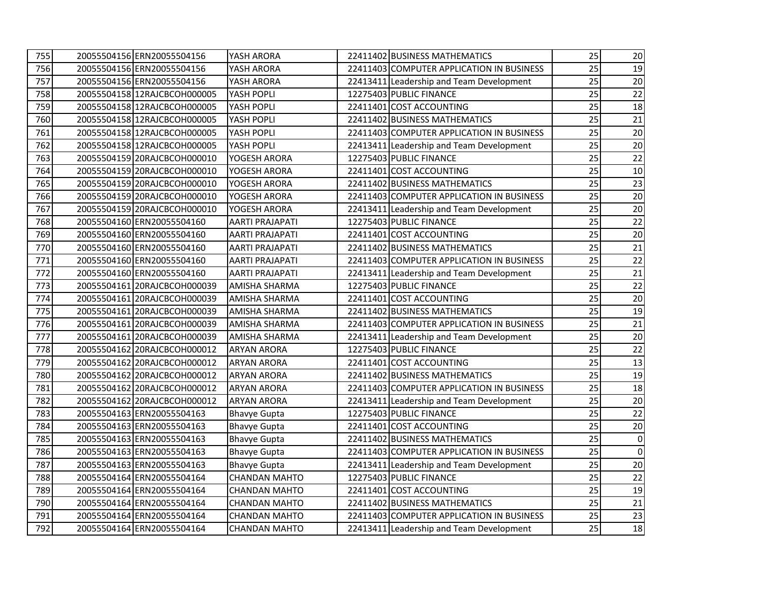| 755 | 20055504156 ERN20055504156   | YASH ARORA             | 22411402 BUSINESS MATHEMATICS             | 25 | 20          |
|-----|------------------------------|------------------------|-------------------------------------------|----|-------------|
| 756 | 20055504156 ERN20055504156   | YASH ARORA             | 22411403 COMPUTER APPLICATION IN BUSINESS | 25 | 19          |
| 757 | 20055504156 ERN20055504156   | YASH ARORA             | 22413411 Leadership and Team Development  | 25 | 20          |
| 758 | 20055504158 12RAJCBCOH000005 | YASH POPLI             | 12275403 PUBLIC FINANCE                   | 25 | 22          |
| 759 | 20055504158 12RAJCBCOH000005 | YASH POPLI             | 22411401 COST ACCOUNTING                  | 25 | 18          |
| 760 | 20055504158 12RAJCBCOH000005 | YASH POPLI             | 22411402 BUSINESS MATHEMATICS             | 25 | 21          |
| 761 | 20055504158 12RAJCBCOH000005 | YASH POPLI             | 22411403 COMPUTER APPLICATION IN BUSINESS | 25 | 20          |
| 762 | 20055504158 12RAJCBCOH000005 | YASH POPLI             | 22413411 Leadership and Team Development  | 25 | 20          |
| 763 | 20055504159 20RAJCBCOH000010 | YOGESH ARORA           | 12275403 PUBLIC FINANCE                   | 25 | 22          |
| 764 | 20055504159 20RAJCBCOH000010 | YOGESH ARORA           | 22411401 COST ACCOUNTING                  | 25 | 10          |
| 765 | 20055504159 20RAJCBCOH000010 | YOGESH ARORA           | 22411402 BUSINESS MATHEMATICS             | 25 | 23          |
| 766 | 20055504159 20RAJCBCOH000010 | YOGESH ARORA           | 22411403 COMPUTER APPLICATION IN BUSINESS | 25 | 20          |
| 767 | 20055504159 20RAJCBCOH000010 | YOGESH ARORA           | 22413411 Leadership and Team Development  | 25 | 20          |
| 768 | 20055504160 ERN20055504160   | <b>AARTI PRAJAPATI</b> | 12275403 PUBLIC FINANCE                   | 25 | 22          |
| 769 | 20055504160 ERN20055504160   | <b>AARTI PRAJAPATI</b> | 22411401 COST ACCOUNTING                  | 25 | 20          |
| 770 | 20055504160 ERN20055504160   | <b>AARTI PRAJAPATI</b> | 22411402 BUSINESS MATHEMATICS             | 25 | 21          |
| 771 | 20055504160 ERN20055504160   | <b>AARTI PRAJAPATI</b> | 22411403 COMPUTER APPLICATION IN BUSINESS | 25 | 22          |
| 772 | 20055504160 ERN20055504160   | <b>AARTI PRAJAPATI</b> | 22413411 Leadership and Team Development  | 25 | 21          |
| 773 | 20055504161 20RAJCBCOH000039 | <b>AMISHA SHARMA</b>   | 12275403 PUBLIC FINANCE                   | 25 | 22          |
| 774 | 20055504161 20RAJCBCOH000039 | <b>AMISHA SHARMA</b>   | 22411401 COST ACCOUNTING                  | 25 | 20          |
| 775 | 20055504161 20RAJCBCOH000039 | <b>AMISHA SHARMA</b>   | 22411402 BUSINESS MATHEMATICS             | 25 | 19          |
| 776 | 20055504161 20RAJCBCOH000039 | AMISHA SHARMA          | 22411403 COMPUTER APPLICATION IN BUSINESS | 25 | 21          |
| 777 | 20055504161 20RAJCBCOH000039 | AMISHA SHARMA          | 22413411 Leadership and Team Development  | 25 | 20          |
| 778 | 20055504162 20RAJCBCOH000012 | <b>ARYAN ARORA</b>     | 12275403 PUBLIC FINANCE                   | 25 | 22          |
| 779 | 20055504162 20RAJCBCOH000012 | <b>ARYAN ARORA</b>     | 22411401 COST ACCOUNTING                  | 25 | 13          |
| 780 | 20055504162 20RAJCBCOH000012 | <b>ARYAN ARORA</b>     | 22411402 BUSINESS MATHEMATICS             | 25 | 19          |
| 781 | 20055504162 20RAJCBCOH000012 | <b>ARYAN ARORA</b>     | 22411403 COMPUTER APPLICATION IN BUSINESS | 25 | 18          |
| 782 | 20055504162 20RAJCBCOH000012 | <b>ARYAN ARORA</b>     | 22413411 Leadership and Team Development  | 25 | 20          |
| 783 | 20055504163 ERN20055504163   | <b>Bhavye Gupta</b>    | 12275403 PUBLIC FINANCE                   | 25 | 22          |
| 784 | 20055504163 ERN20055504163   | <b>Bhavye Gupta</b>    | 22411401 COST ACCOUNTING                  | 25 | 20          |
| 785 | 20055504163 ERN20055504163   | <b>Bhavye Gupta</b>    | 22411402 BUSINESS MATHEMATICS             | 25 | $\mathbf 0$ |
| 786 | 20055504163 ERN20055504163   | <b>Bhavye Gupta</b>    | 22411403 COMPUTER APPLICATION IN BUSINESS | 25 | $\pmb{0}$   |
| 787 | 20055504163 ERN20055504163   | <b>Bhavye Gupta</b>    | 22413411 Leadership and Team Development  | 25 | 20          |
| 788 | 20055504164 ERN20055504164   | <b>CHANDAN MAHTO</b>   | 12275403 PUBLIC FINANCE                   | 25 | 22          |
| 789 | 20055504164 ERN20055504164   | <b>CHANDAN MAHTO</b>   | 22411401 COST ACCOUNTING                  | 25 | 19          |
| 790 | 20055504164 ERN20055504164   | <b>CHANDAN MAHTO</b>   | 22411402 BUSINESS MATHEMATICS             | 25 | 21          |
| 791 | 20055504164 ERN20055504164   | <b>CHANDAN MAHTO</b>   | 22411403 COMPUTER APPLICATION IN BUSINESS | 25 | 23          |
| 792 | 20055504164 ERN20055504164   | <b>CHANDAN MAHTO</b>   | 22413411 Leadership and Team Development  | 25 | 18          |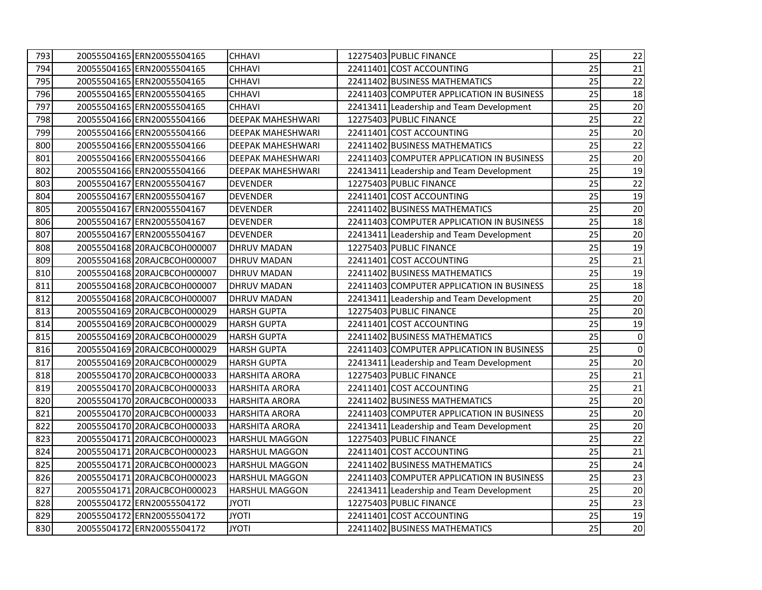| 793 | 20055504165 ERN20055504165   | <b>CHHAVI</b>            | 12275403 PUBLIC FINANCE                   | 25 | 22     |
|-----|------------------------------|--------------------------|-------------------------------------------|----|--------|
| 794 | 20055504165 ERN20055504165   | <b>CHHAVI</b>            | 22411401 COST ACCOUNTING                  | 25 | 21     |
| 795 | 20055504165 ERN20055504165   | <b>CHHAVI</b>            | 22411402 BUSINESS MATHEMATICS             | 25 | 22     |
| 796 | 20055504165 ERN20055504165   | <b>CHHAVI</b>            | 22411403 COMPUTER APPLICATION IN BUSINESS | 25 | 18     |
| 797 | 20055504165 ERN20055504165   | <b>CHHAVI</b>            | 22413411 Leadership and Team Development  | 25 | 20     |
| 798 | 20055504166 ERN20055504166   | <b>DEEPAK MAHESHWARI</b> | 12275403 PUBLIC FINANCE                   | 25 | 22     |
| 799 | 20055504166 ERN20055504166   | <b>DEEPAK MAHESHWARI</b> | 22411401 COST ACCOUNTING                  | 25 | 20     |
| 800 | 20055504166 ERN20055504166   | DEEPAK MAHESHWARI        | 22411402 BUSINESS MATHEMATICS             | 25 | 22     |
| 801 | 20055504166 ERN20055504166   | DEEPAK MAHESHWARI        | 22411403 COMPUTER APPLICATION IN BUSINESS | 25 | 20     |
| 802 | 20055504166 ERN20055504166   | <b>DEEPAK MAHESHWARI</b> | 22413411 Leadership and Team Development  | 25 | 19     |
| 803 | 20055504167 ERN20055504167   | <b>DEVENDER</b>          | 12275403 PUBLIC FINANCE                   | 25 | 22     |
| 804 | 20055504167 ERN20055504167   | <b>DEVENDER</b>          | 22411401 COST ACCOUNTING                  | 25 | 19     |
| 805 | 20055504167 ERN20055504167   | <b>DEVENDER</b>          | 22411402 BUSINESS MATHEMATICS             | 25 | $20\,$ |
| 806 | 20055504167 ERN20055504167   | <b>DEVENDER</b>          | 22411403 COMPUTER APPLICATION IN BUSINESS | 25 | 18     |
| 807 | 20055504167 ERN20055504167   | <b>DEVENDER</b>          | 22413411 Leadership and Team Development  | 25 | 20     |
| 808 | 20055504168 20RAJCBCOH000007 | <b>DHRUV MADAN</b>       | 12275403 PUBLIC FINANCE                   | 25 | 19     |
| 809 | 20055504168 20RAJCBCOH000007 | <b>DHRUV MADAN</b>       | 22411401 COST ACCOUNTING                  | 25 | 21     |
| 810 | 20055504168 20RAJCBCOH000007 | <b>DHRUV MADAN</b>       | 22411402 BUSINESS MATHEMATICS             | 25 | 19     |
| 811 | 20055504168 20RAJCBCOH000007 | <b>DHRUV MADAN</b>       | 22411403 COMPUTER APPLICATION IN BUSINESS | 25 | 18     |
| 812 | 20055504168 20RAJCBCOH000007 | DHRUV MADAN              | 22413411 Leadership and Team Development  | 25 | 20     |
| 813 | 20055504169 20RAJCBCOH000029 | <b>HARSH GUPTA</b>       | 12275403 PUBLIC FINANCE                   | 25 | 20     |
| 814 | 20055504169 20RAJCBCOH000029 | <b>HARSH GUPTA</b>       | 22411401 COST ACCOUNTING                  | 25 | 19     |
| 815 | 20055504169 20RAJCBCOH000029 | <b>HARSH GUPTA</b>       | 22411402 BUSINESS MATHEMATICS             | 25 | 0      |
| 816 | 20055504169 20RAJCBCOH000029 | <b>HARSH GUPTA</b>       | 22411403 COMPUTER APPLICATION IN BUSINESS | 25 | 0      |
| 817 | 20055504169 20RAJCBCOH000029 | <b>HARSH GUPTA</b>       | 22413411 Leadership and Team Development  | 25 | 20     |
| 818 | 20055504170 20RAJCBCOH000033 | <b>HARSHITA ARORA</b>    | 12275403 PUBLIC FINANCE                   | 25 | 21     |
| 819 | 20055504170 20RAJCBCOH000033 | <b>HARSHITA ARORA</b>    | 22411401 COST ACCOUNTING                  | 25 | 21     |
| 820 | 20055504170 20RAJCBCOH000033 | <b>HARSHITA ARORA</b>    | 22411402 BUSINESS MATHEMATICS             | 25 | 20     |
| 821 | 20055504170 20RAJCBCOH000033 | <b>HARSHITA ARORA</b>    | 22411403 COMPUTER APPLICATION IN BUSINESS | 25 | 20     |
| 822 | 20055504170 20RAJCBCOH000033 | <b>HARSHITA ARORA</b>    | 22413411 Leadership and Team Development  | 25 | 20     |
| 823 | 20055504171 20RAJCBCOH000023 | <b>HARSHUL MAGGON</b>    | 12275403 PUBLIC FINANCE                   | 25 | 22     |
| 824 | 20055504171 20RAJCBCOH000023 | <b>HARSHUL MAGGON</b>    | 22411401 COST ACCOUNTING                  | 25 | 21     |
| 825 | 20055504171 20RAJCBCOH000023 | <b>HARSHUL MAGGON</b>    | 22411402 BUSINESS MATHEMATICS             | 25 | 24     |
| 826 | 20055504171 20RAJCBCOH000023 | <b>HARSHUL MAGGON</b>    | 22411403 COMPUTER APPLICATION IN BUSINESS | 25 | 23     |
| 827 | 20055504171 20RAJCBCOH000023 | <b>HARSHUL MAGGON</b>    | 22413411 Leadership and Team Development  | 25 | 20     |
| 828 | 20055504172 ERN20055504172   | <b>ITOYL</b>             | 12275403 PUBLIC FINANCE                   | 25 | 23     |
| 829 | 20055504172 ERN20055504172   | <b>ITOYL</b>             | 22411401 COST ACCOUNTING                  | 25 | 19     |
| 830 | 20055504172 ERN20055504172   | <b>JYOTI</b>             | 22411402 BUSINESS MATHEMATICS             | 25 | 20     |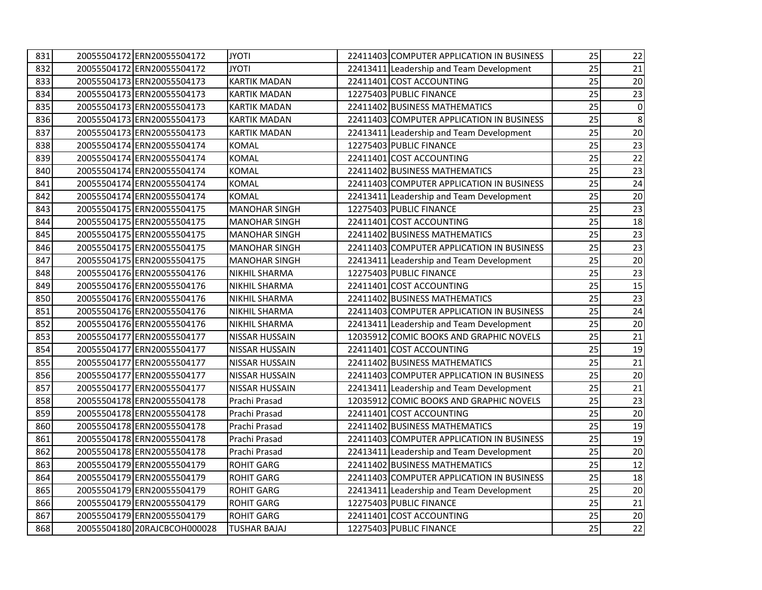| 831 | 20055504172 ERN20055504172   | <b>ITOYL</b>          | 22411403 COMPUTER APPLICATION IN BUSINESS | 25 | 22 |
|-----|------------------------------|-----------------------|-------------------------------------------|----|----|
| 832 | 20055504172 ERN20055504172   | <b>ITOYL</b>          | 22413411 Leadership and Team Development  | 25 | 21 |
| 833 | 20055504173 ERN20055504173   | <b>KARTIK MADAN</b>   | 22411401 COST ACCOUNTING                  | 25 | 20 |
| 834 | 20055504173 ERN20055504173   | <b>KARTIK MADAN</b>   | 12275403 PUBLIC FINANCE                   | 25 | 23 |
| 835 | 20055504173 ERN20055504173   | <b>KARTIK MADAN</b>   | 22411402 BUSINESS MATHEMATICS             | 25 | 0  |
| 836 | 20055504173 ERN20055504173   | <b>KARTIK MADAN</b>   | 22411403 COMPUTER APPLICATION IN BUSINESS | 25 | 8  |
| 837 | 20055504173 ERN20055504173   | <b>KARTIK MADAN</b>   | 22413411 Leadership and Team Development  | 25 | 20 |
| 838 | 20055504174 ERN20055504174   | <b>KOMAL</b>          | 12275403 PUBLIC FINANCE                   | 25 | 23 |
| 839 | 20055504174 ERN20055504174   | <b>KOMAL</b>          | 22411401 COST ACCOUNTING                  | 25 | 22 |
| 840 | 20055504174 ERN20055504174   | <b>KOMAL</b>          | 22411402 BUSINESS MATHEMATICS             | 25 | 23 |
| 841 | 20055504174 ERN20055504174   | <b>KOMAL</b>          | 22411403 COMPUTER APPLICATION IN BUSINESS | 25 | 24 |
| 842 | 20055504174 ERN20055504174   | <b>KOMAL</b>          | 22413411 Leadership and Team Development  | 25 | 20 |
| 843 | 20055504175 ERN20055504175   | <b>MANOHAR SINGH</b>  | 12275403 PUBLIC FINANCE                   | 25 | 23 |
| 844 | 20055504175 ERN20055504175   | <b>MANOHAR SINGH</b>  | 22411401 COST ACCOUNTING                  | 25 | 18 |
| 845 | 20055504175 ERN20055504175   | <b>MANOHAR SINGH</b>  | 22411402 BUSINESS MATHEMATICS             | 25 | 23 |
| 846 | 20055504175 ERN20055504175   | <b>MANOHAR SINGH</b>  | 22411403 COMPUTER APPLICATION IN BUSINESS | 25 | 23 |
| 847 | 20055504175 ERN20055504175   | <b>MANOHAR SINGH</b>  | 22413411 Leadership and Team Development  | 25 | 20 |
| 848 | 20055504176 ERN20055504176   | <b>NIKHIL SHARMA</b>  | 12275403 PUBLIC FINANCE                   | 25 | 23 |
| 849 | 20055504176 ERN20055504176   | <b>NIKHIL SHARMA</b>  | 22411401 COST ACCOUNTING                  | 25 | 15 |
| 850 | 20055504176 ERN20055504176   | <b>NIKHIL SHARMA</b>  | 22411402 BUSINESS MATHEMATICS             | 25 | 23 |
| 851 | 20055504176 ERN20055504176   | <b>NIKHIL SHARMA</b>  | 22411403 COMPUTER APPLICATION IN BUSINESS | 25 | 24 |
| 852 | 20055504176 ERN20055504176   | NIKHIL SHARMA         | 22413411 Leadership and Team Development  | 25 | 20 |
| 853 | 20055504177 ERN20055504177   | <b>NISSAR HUSSAIN</b> | 12035912 COMIC BOOKS AND GRAPHIC NOVELS   | 25 | 21 |
| 854 | 20055504177 ERN20055504177   | <b>NISSAR HUSSAIN</b> | 22411401 COST ACCOUNTING                  | 25 | 19 |
| 855 | 20055504177 ERN20055504177   | NISSAR HUSSAIN        | 22411402 BUSINESS MATHEMATICS             | 25 | 21 |
| 856 | 20055504177 ERN20055504177   | NISSAR HUSSAIN        | 22411403 COMPUTER APPLICATION IN BUSINESS | 25 | 20 |
| 857 | 20055504177 ERN20055504177   | <b>NISSAR HUSSAIN</b> | 22413411 Leadership and Team Development  | 25 | 21 |
| 858 | 20055504178 ERN20055504178   | Prachi Prasad         | 12035912 COMIC BOOKS AND GRAPHIC NOVELS   | 25 | 23 |
| 859 | 20055504178 ERN20055504178   | Prachi Prasad         | 22411401 COST ACCOUNTING                  | 25 | 20 |
| 860 | 20055504178 ERN20055504178   | Prachi Prasad         | 22411402 BUSINESS MATHEMATICS             | 25 | 19 |
| 861 | 20055504178 ERN20055504178   | Prachi Prasad         | 22411403 COMPUTER APPLICATION IN BUSINESS | 25 | 19 |
| 862 | 20055504178 ERN20055504178   | Prachi Prasad         | 22413411 Leadership and Team Development  | 25 | 20 |
| 863 | 20055504179 ERN20055504179   | <b>ROHIT GARG</b>     | 22411402 BUSINESS MATHEMATICS             | 25 | 12 |
| 864 | 20055504179 ERN20055504179   | <b>ROHIT GARG</b>     | 22411403 COMPUTER APPLICATION IN BUSINESS | 25 | 18 |
| 865 | 20055504179 ERN20055504179   | <b>ROHIT GARG</b>     | 22413411 Leadership and Team Development  | 25 | 20 |
| 866 | 20055504179 ERN20055504179   | <b>ROHIT GARG</b>     | 12275403 PUBLIC FINANCE                   | 25 | 21 |
| 867 | 20055504179 ERN20055504179   | <b>ROHIT GARG</b>     | 22411401 COST ACCOUNTING                  | 25 | 20 |
| 868 | 20055504180 20RAJCBCOH000028 | <b>TUSHAR BAJAJ</b>   | 12275403 PUBLIC FINANCE                   | 25 | 22 |